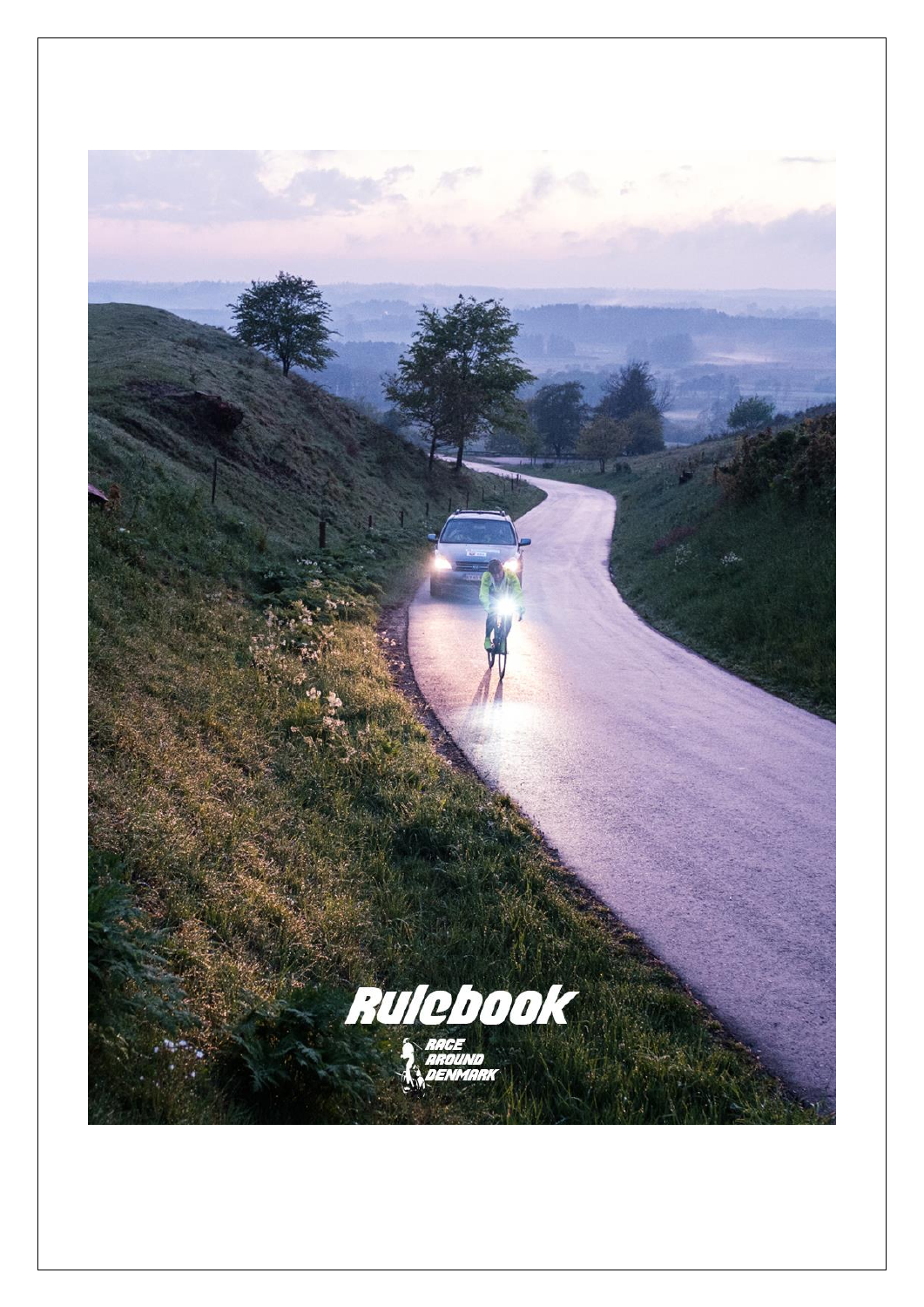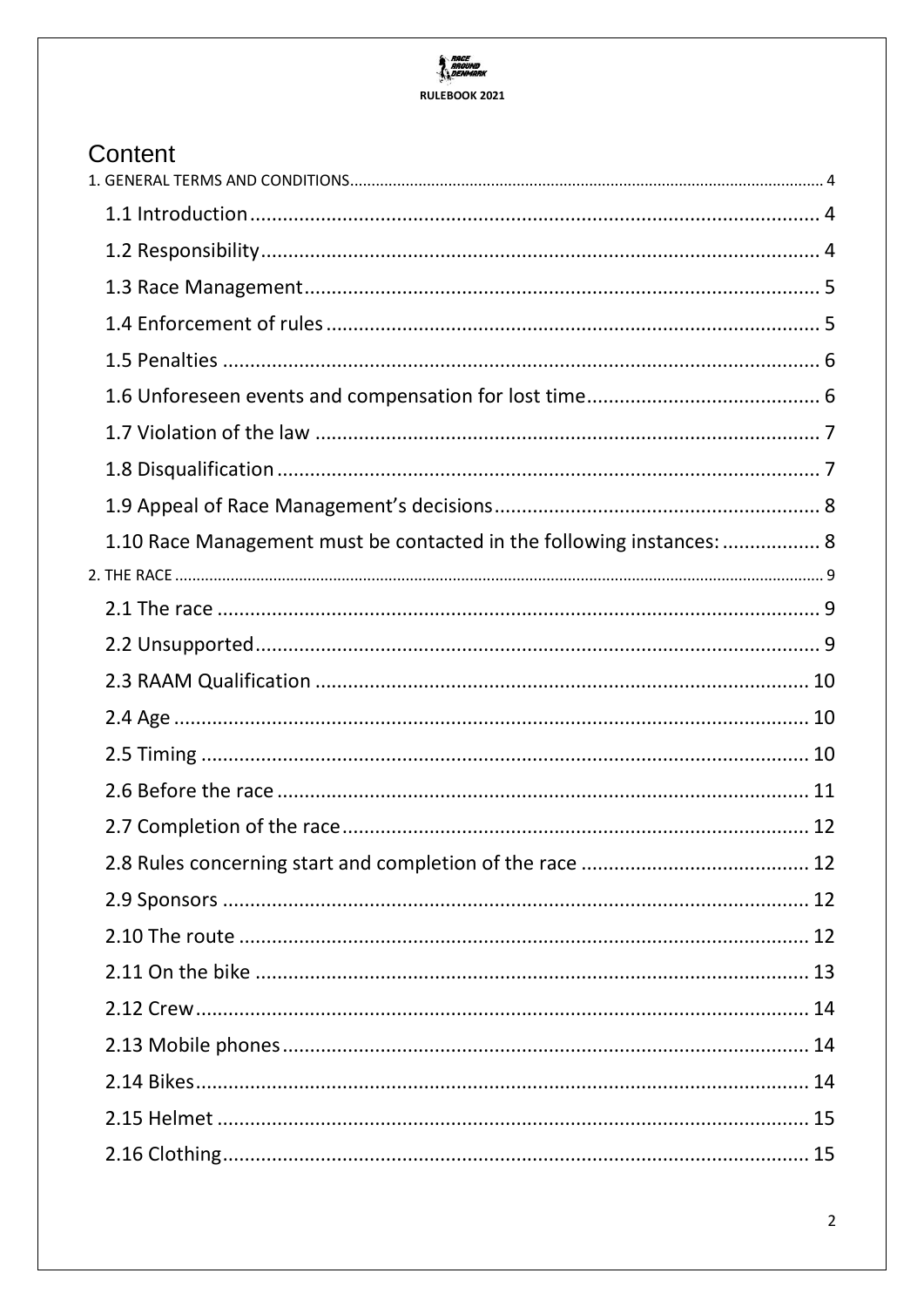## **RACE**<br>AROUND<br>A DENMARK RULEBOOK 2021

| Content                                                               |  |
|-----------------------------------------------------------------------|--|
|                                                                       |  |
|                                                                       |  |
|                                                                       |  |
|                                                                       |  |
|                                                                       |  |
|                                                                       |  |
|                                                                       |  |
|                                                                       |  |
|                                                                       |  |
|                                                                       |  |
| 1.10 Race Management must be contacted in the following instances:  8 |  |
|                                                                       |  |
|                                                                       |  |
|                                                                       |  |
|                                                                       |  |
|                                                                       |  |
|                                                                       |  |
|                                                                       |  |
|                                                                       |  |
|                                                                       |  |
|                                                                       |  |
|                                                                       |  |
|                                                                       |  |
|                                                                       |  |
|                                                                       |  |
|                                                                       |  |
|                                                                       |  |
|                                                                       |  |
|                                                                       |  |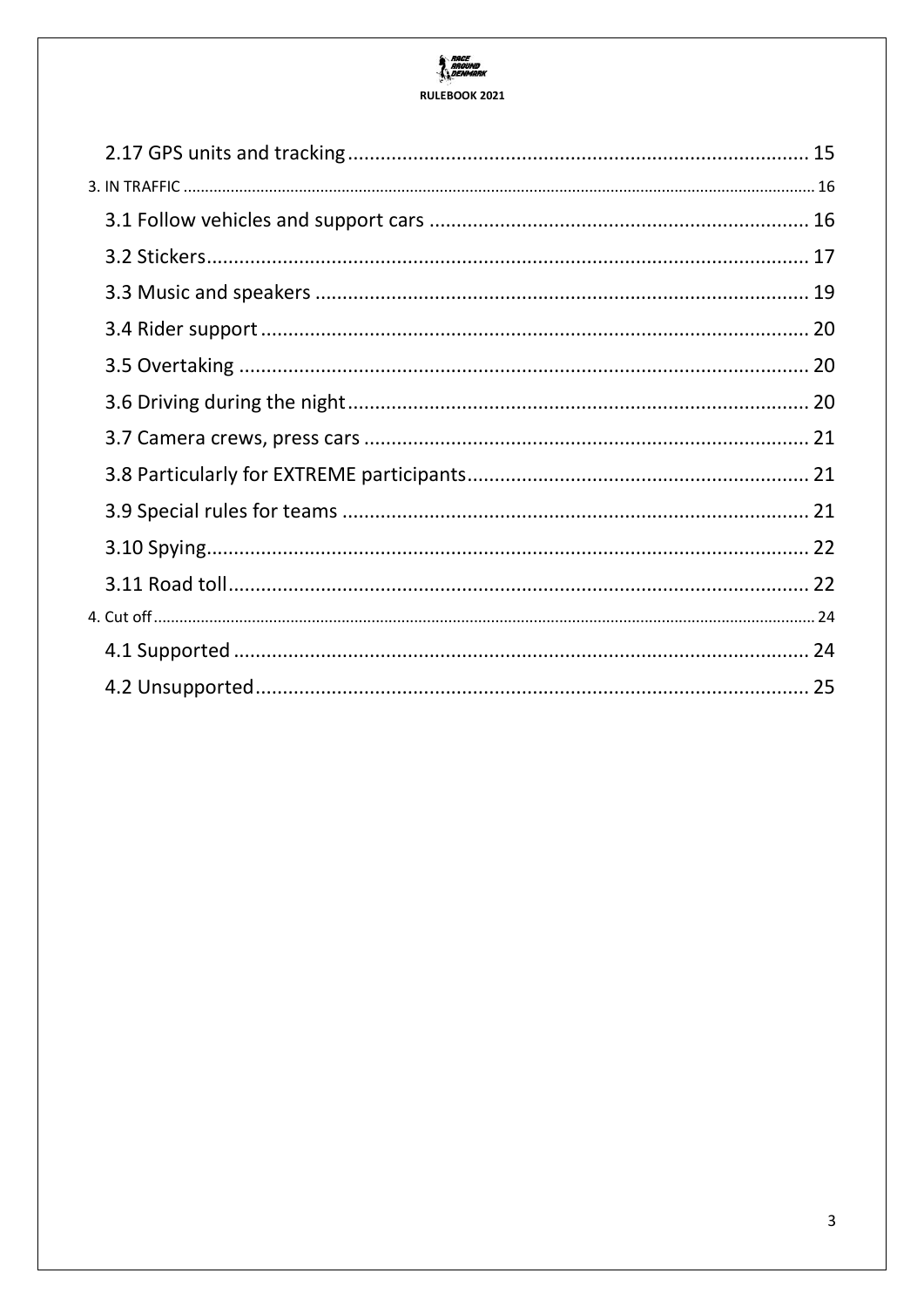## **RACE**<br>AROUND<br>A DENMARK RULEBOOK 2021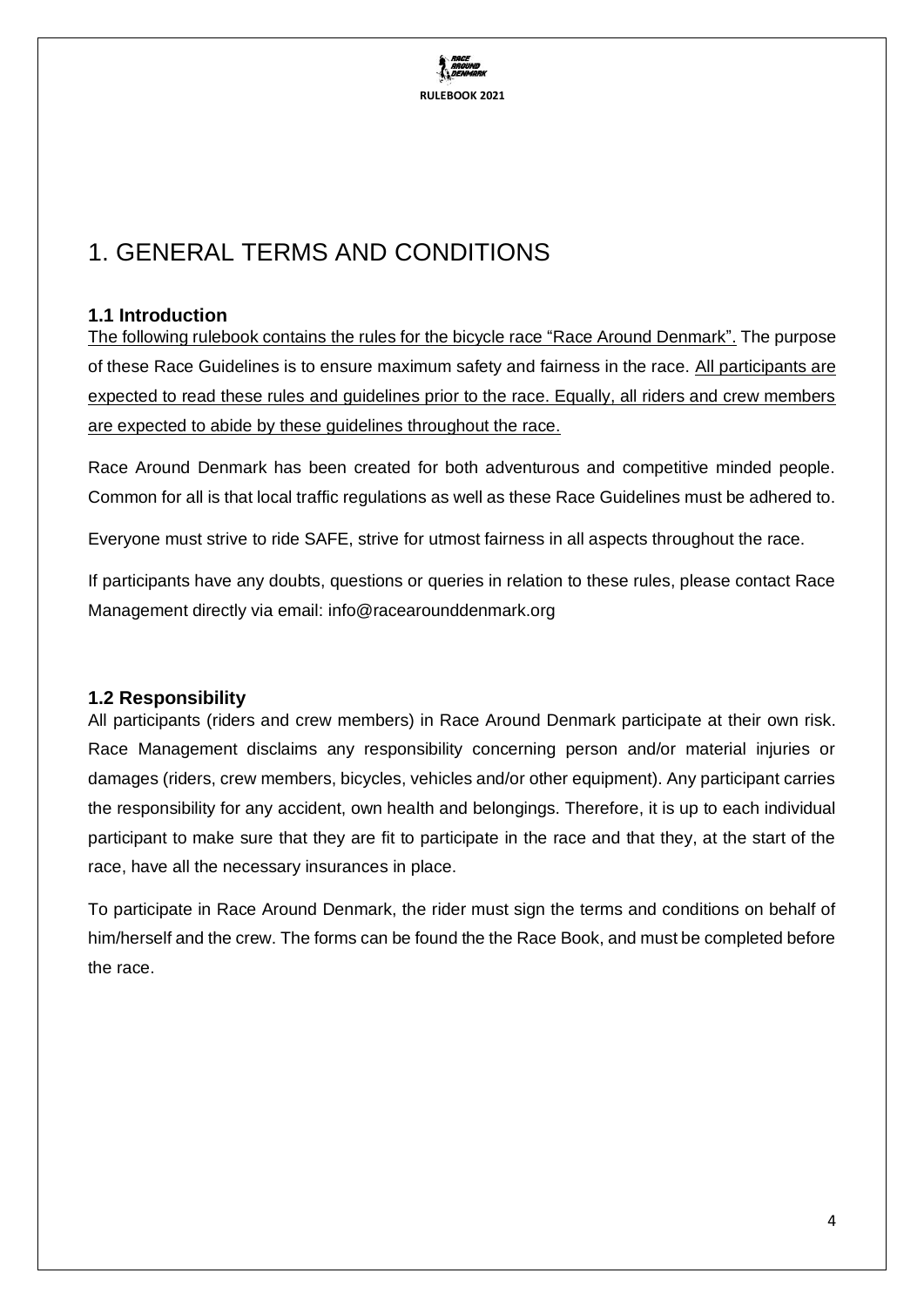

# <span id="page-3-0"></span>1. GENERAL TERMS AND CONDITIONS

## <span id="page-3-1"></span>**1.1 Introduction**

The following rulebook contains the rules for the bicycle race "Race Around Denmark". The purpose of these Race Guidelines is to ensure maximum safety and fairness in the race. All participants are expected to read these rules and guidelines prior to the race. Equally, all riders and crew members are expected to abide by these guidelines throughout the race.

Race Around Denmark has been created for both adventurous and competitive minded people. Common for all is that local traffic regulations as well as these Race Guidelines must be adhered to.

Everyone must strive to ride SAFE, strive for utmost fairness in all aspects throughout the race.

If participants have any doubts, questions or queries in relation to these rules, please contact Race Management directly via email: info@racearounddenmark.org

### <span id="page-3-2"></span>**1.2 Responsibility**

All participants (riders and crew members) in Race Around Denmark participate at their own risk. Race Management disclaims any responsibility concerning person and/or material injuries or damages (riders, crew members, bicycles, vehicles and/or other equipment). Any participant carries the responsibility for any accident, own health and belongings. Therefore, it is up to each individual participant to make sure that they are fit to participate in the race and that they, at the start of the race, have all the necessary insurances in place.

To participate in Race Around Denmark, the rider must sign the terms and conditions on behalf of him/herself and the crew. The forms can be found the the Race Book, and must be completed before the race.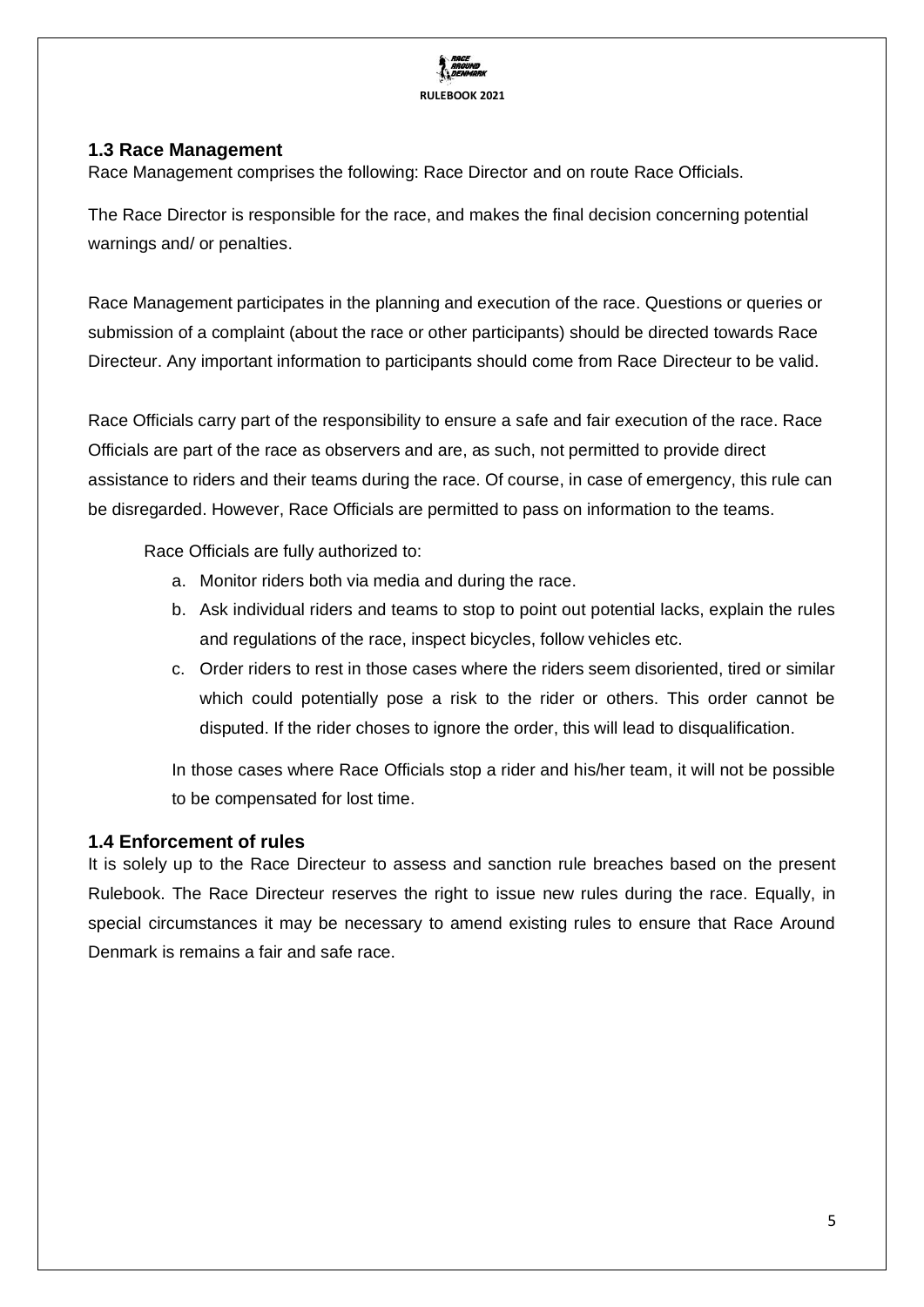

### <span id="page-4-0"></span>**1.3 Race Management**

Race Management comprises the following: Race Director and on route Race Officials.

The Race Director is responsible for the race, and makes the final decision concerning potential warnings and/ or penalties.

Race Management participates in the planning and execution of the race. Questions or queries or submission of a complaint (about the race or other participants) should be directed towards Race Directeur. Any important information to participants should come from Race Directeur to be valid.

Race Officials carry part of the responsibility to ensure a safe and fair execution of the race. Race Officials are part of the race as observers and are, as such, not permitted to provide direct assistance to riders and their teams during the race. Of course, in case of emergency, this rule can be disregarded. However, Race Officials are permitted to pass on information to the teams.

Race Officials are fully authorized to:

- a. Monitor riders both via media and during the race.
- b. Ask individual riders and teams to stop to point out potential lacks, explain the rules and regulations of the race, inspect bicycles, follow vehicles etc.
- c. Order riders to rest in those cases where the riders seem disoriented, tired or similar which could potentially pose a risk to the rider or others. This order cannot be disputed. If the rider choses to ignore the order, this will lead to disqualification.

In those cases where Race Officials stop a rider and his/her team, it will not be possible to be compensated for lost time.

### <span id="page-4-1"></span>**1.4 Enforcement of rules**

It is solely up to the Race Directeur to assess and sanction rule breaches based on the present Rulebook. The Race Directeur reserves the right to issue new rules during the race. Equally, in special circumstances it may be necessary to amend existing rules to ensure that Race Around Denmark is remains a fair and safe race.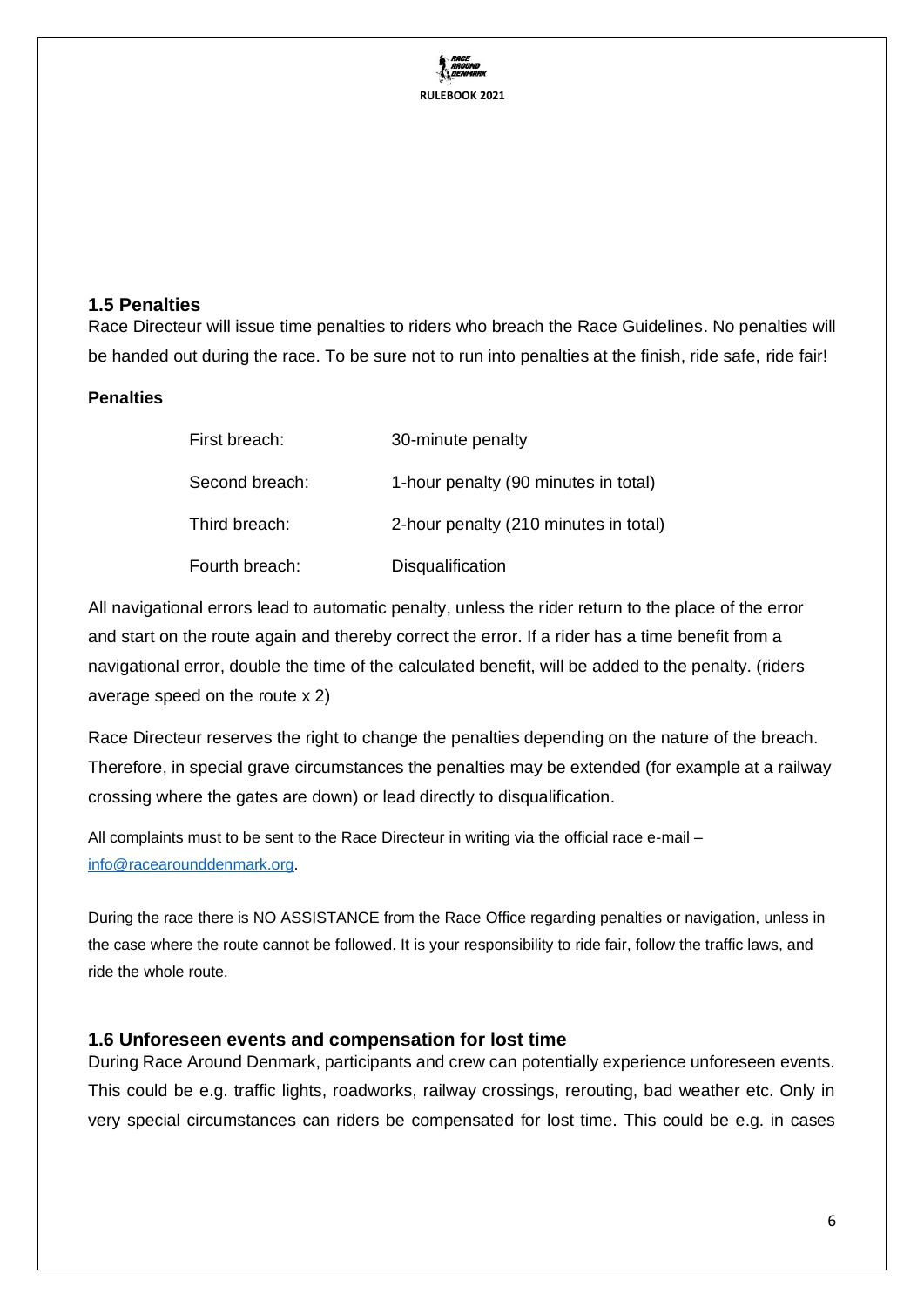

#### <span id="page-5-0"></span>**1.5 Penalties**

Race Directeur will issue time penalties to riders who breach the Race Guidelines. No penalties will be handed out during the race. To be sure not to run into penalties at the finish, ride safe, ride fair!

#### **Penalties**

| First breach:  | 30-minute penalty                     |
|----------------|---------------------------------------|
| Second breach: | 1-hour penalty (90 minutes in total)  |
| Third breach:  | 2-hour penalty (210 minutes in total) |
| Fourth breach: | Disqualification                      |

All navigational errors lead to automatic penalty, unless the rider return to the place of the error and start on the route again and thereby correct the error. If a rider has a time benefit from a navigational error, double the time of the calculated benefit, will be added to the penalty. (riders average speed on the route x 2)

Race Directeur reserves the right to change the penalties depending on the nature of the breach. Therefore, in special grave circumstances the penalties may be extended (for example at a railway crossing where the gates are down) or lead directly to disqualification.

All complaints must to be sent to the Race Directeur in writing via the official race e-mail [info@racearounddenmark.org.](mailto:info@racearounddenmark.org)

During the race there is NO ASSISTANCE from the Race Office regarding penalties or navigation, unless in the case where the route cannot be followed. It is your responsibility to ride fair, follow the traffic laws, and ride the whole route.

#### <span id="page-5-1"></span>**1.6 Unforeseen events and compensation for lost time**

During Race Around Denmark, participants and crew can potentially experience unforeseen events. This could be e.g. traffic lights, roadworks, railway crossings, rerouting, bad weather etc. Only in very special circumstances can riders be compensated for lost time. This could be e.g. in cases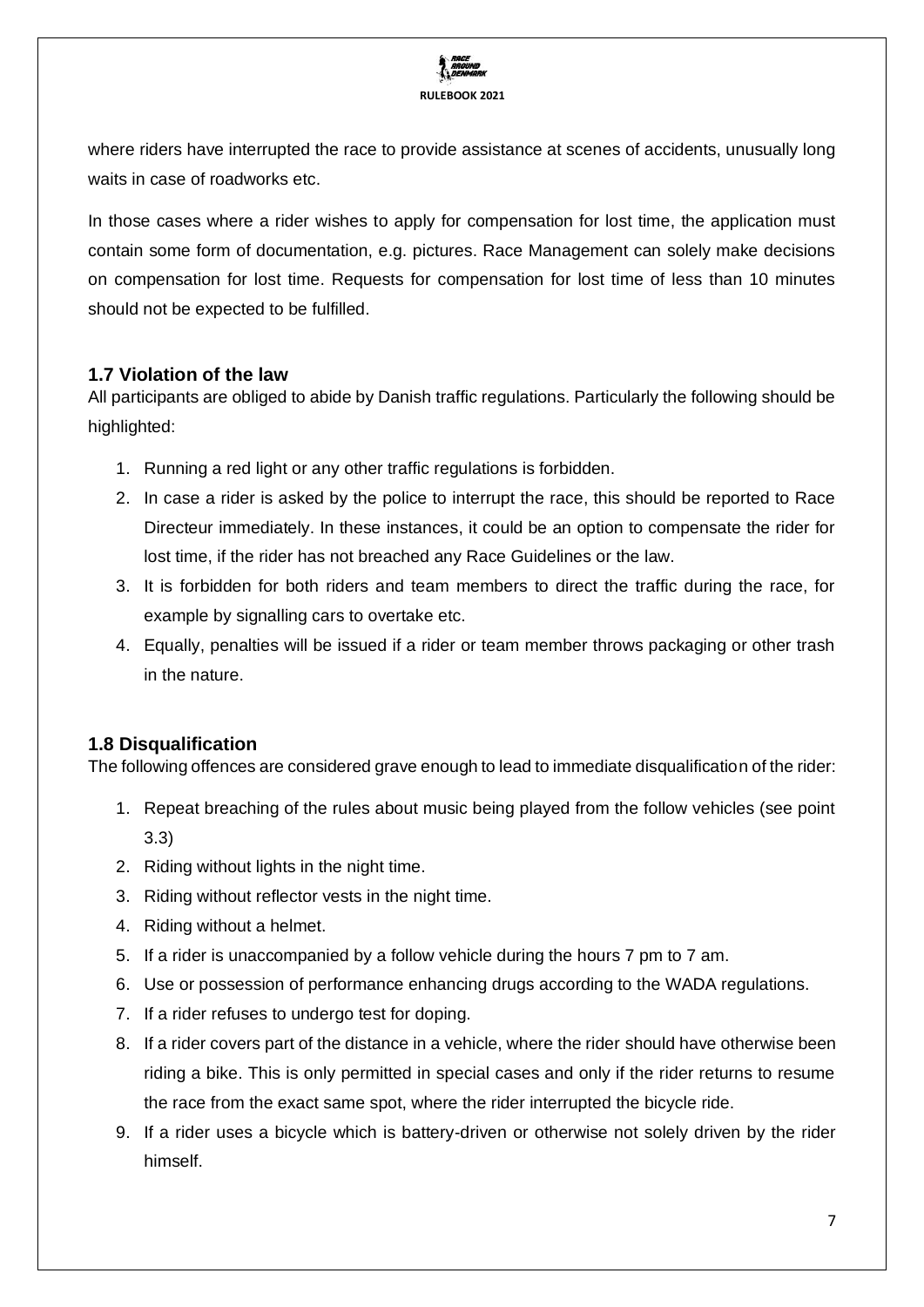

where riders have interrupted the race to provide assistance at scenes of accidents, unusually long waits in case of roadworks etc.

In those cases where a rider wishes to apply for compensation for lost time, the application must contain some form of documentation, e.g. pictures. Race Management can solely make decisions on compensation for lost time. Requests for compensation for lost time of less than 10 minutes should not be expected to be fulfilled.

## <span id="page-6-0"></span>**1.7 Violation of the law**

All participants are obliged to abide by Danish traffic regulations. Particularly the following should be highlighted:

- 1. Running a red light or any other traffic regulations is forbidden.
- 2. In case a rider is asked by the police to interrupt the race, this should be reported to Race Directeur immediately. In these instances, it could be an option to compensate the rider for lost time, if the rider has not breached any Race Guidelines or the law.
- 3. It is forbidden for both riders and team members to direct the traffic during the race, for example by signalling cars to overtake etc.
- 4. Equally, penalties will be issued if a rider or team member throws packaging or other trash in the nature.

## <span id="page-6-1"></span>**1.8 Disqualification**

The following offences are considered grave enough to lead to immediate disqualification of the rider:

- 1. Repeat breaching of the rules about music being played from the follow vehicles (see point 3.3)
- 2. Riding without lights in the night time.
- 3. Riding without reflector vests in the night time.
- 4. Riding without a helmet.
- 5. If a rider is unaccompanied by a follow vehicle during the hours 7 pm to 7 am.
- 6. Use or possession of performance enhancing drugs according to the WADA regulations.
- 7. If a rider refuses to undergo test for doping.
- 8. If a rider covers part of the distance in a vehicle, where the rider should have otherwise been riding a bike. This is only permitted in special cases and only if the rider returns to resume the race from the exact same spot, where the rider interrupted the bicycle ride.
- 9. If a rider uses a bicycle which is battery-driven or otherwise not solely driven by the rider himself.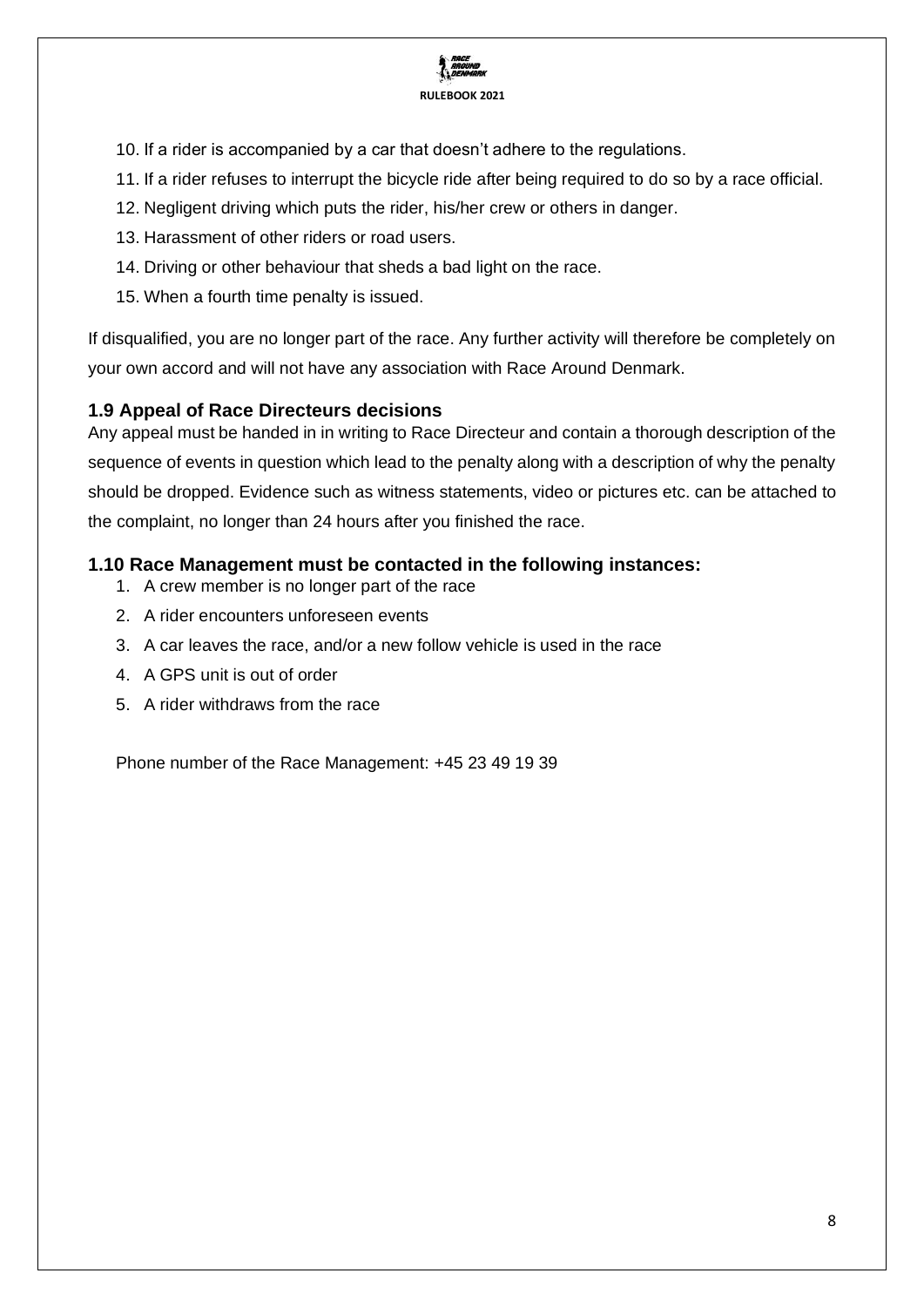

- 10. If a rider is accompanied by a car that doesn't adhere to the regulations.
- 11. If a rider refuses to interrupt the bicycle ride after being required to do so by a race official.
- 12. Negligent driving which puts the rider, his/her crew or others in danger.
- 13. Harassment of other riders or road users.
- 14. Driving or other behaviour that sheds a bad light on the race.
- 15. When a fourth time penalty is issued.

If disqualified, you are no longer part of the race. Any further activity will therefore be completely on your own accord and will not have any association with Race Around Denmark.

#### <span id="page-7-0"></span>**1.9 Appeal of Race Directeurs decisions**

Any appeal must be handed in in writing to Race Directeur and contain a thorough description of the sequence of events in question which lead to the penalty along with a description of why the penalty should be dropped. Evidence such as witness statements, video or pictures etc. can be attached to the complaint, no longer than 24 hours after you finished the race.

### <span id="page-7-1"></span>**1.10 Race Management must be contacted in the following instances:**

- 1. A crew member is no longer part of the race
- 2. A rider encounters unforeseen events
- 3. A car leaves the race, and/or a new follow vehicle is used in the race
- 4. A GPS unit is out of order
- 5. A rider withdraws from the race

Phone number of the Race Management: +45 23 49 19 39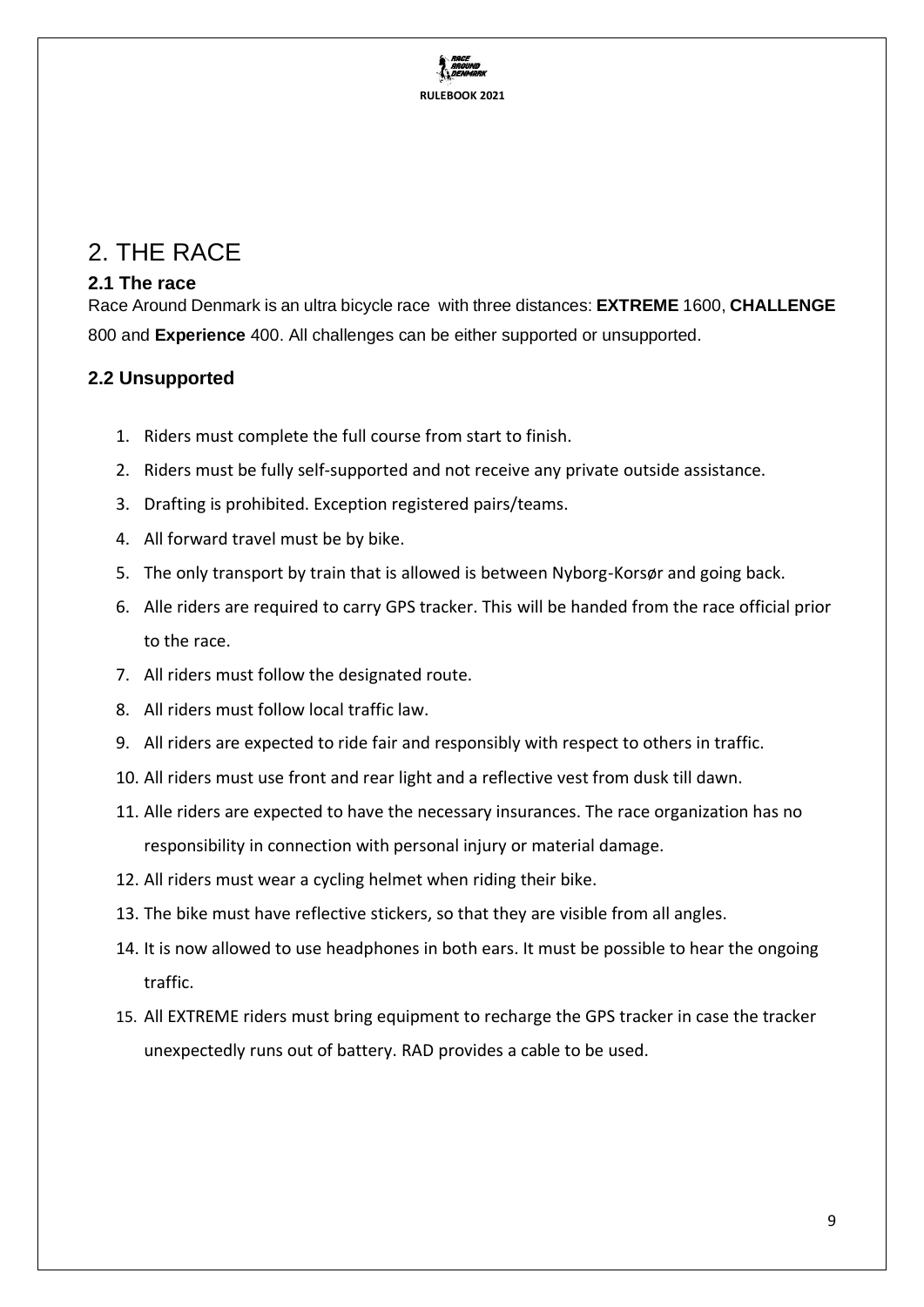

# <span id="page-8-0"></span>2. THE RACE

## <span id="page-8-1"></span>**2.1 The race**

Race Around Denmark is an ultra bicycle race with three distances: **EXTREME** 1600, **CHALLENGE** 800 and **Experience** 400. All challenges can be either supported or unsupported.

## <span id="page-8-2"></span>**2.2 Unsupported**

- 1. Riders must complete the full course from start to finish.
- 2. Riders must be fully self-supported and not receive any private outside assistance.
- 3. Drafting is prohibited. Exception registered pairs/teams.
- 4. All forward travel must be by bike.
- 5. The only transport by train that is allowed is between Nyborg-Korsør and going back.
- 6. Alle riders are required to carry GPS tracker. This will be handed from the race official prior to the race.
- 7. All riders must follow the designated route.
- 8. All riders must follow local traffic law.
- 9. All riders are expected to ride fair and responsibly with respect to others in traffic.
- 10. All riders must use front and rear light and a reflective vest from dusk till dawn.
- 11. Alle riders are expected to have the necessary insurances. The race organization has no responsibility in connection with personal injury or material damage.
- 12. All riders must wear a cycling helmet when riding their bike.
- 13. The bike must have reflective stickers, so that they are visible from all angles.
- 14. It is now allowed to use headphones in both ears. It must be possible to hear the ongoing traffic.
- 15. All EXTREME riders must bring equipment to recharge the GPS tracker in case the tracker unexpectedly runs out of battery. RAD provides a cable to be used.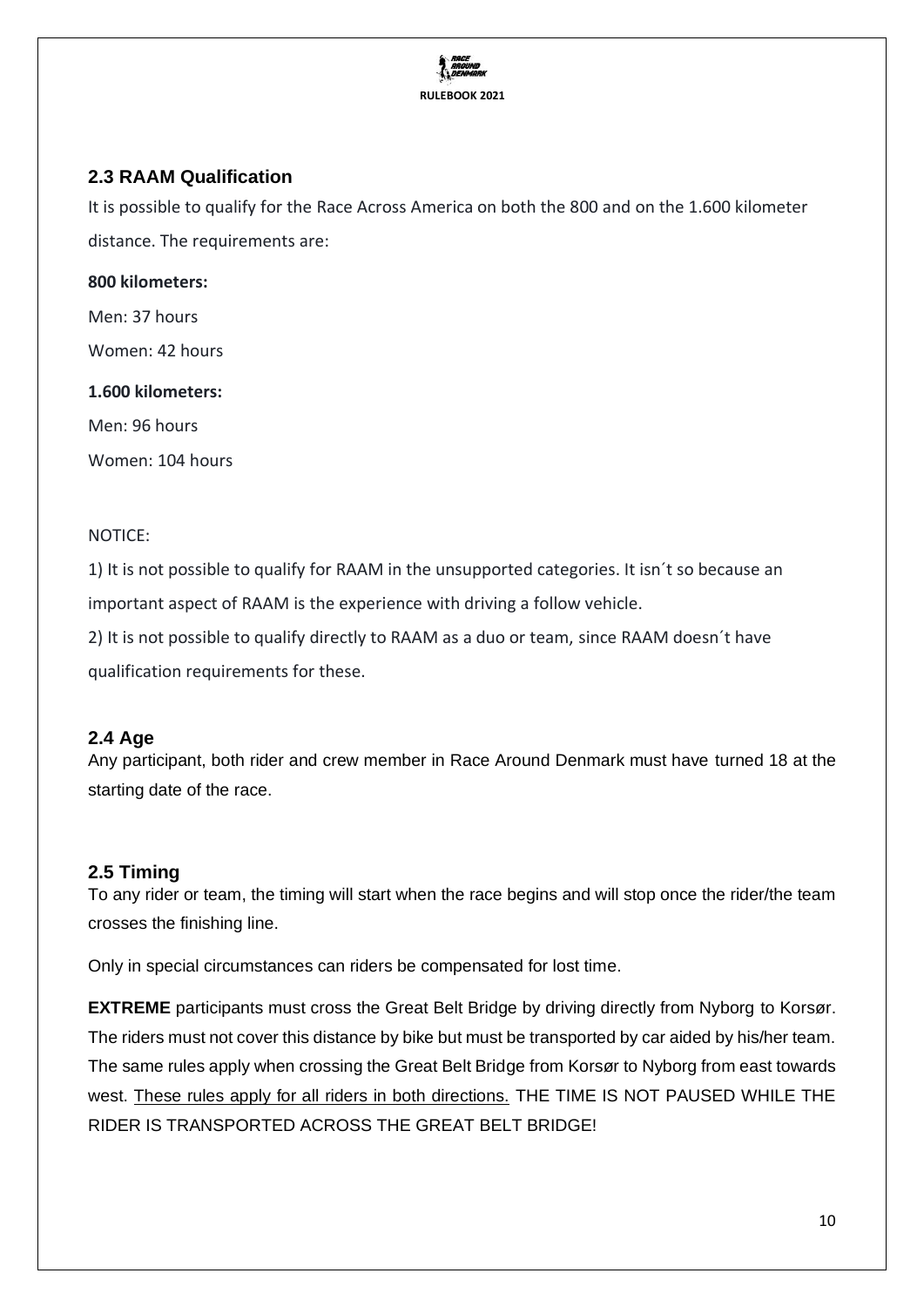

## <span id="page-9-0"></span>**2.3 RAAM Qualification**

It is possible to qualify for the Race Across America on both the 800 and on the 1.600 kilometer distance. The requirements are:

#### **800 kilometers:**

Men: 37 hours

Women: 42 hours

#### **1.600 kilometers:**

Men: 96 hours

Women: 104 hours

#### NOTICE:

1) It is not possible to qualify for RAAM in the unsupported categories. It isn´t so because an important aspect of RAAM is the experience with driving a follow vehicle.

2) It is not possible to qualify directly to RAAM as a duo or team, since RAAM doesn´t have qualification requirements for these.

### <span id="page-9-1"></span>**2.4 Age**

Any participant, both rider and crew member in Race Around Denmark must have turned 18 at the starting date of the race.

### <span id="page-9-2"></span>**2.5 Timing**

To any rider or team, the timing will start when the race begins and will stop once the rider/the team crosses the finishing line.

Only in special circumstances can riders be compensated for lost time.

**EXTREME** participants must cross the Great Belt Bridge by driving directly from Nyborg to Korsør. The riders must not cover this distance by bike but must be transported by car aided by his/her team. The same rules apply when crossing the Great Belt Bridge from Korsør to Nyborg from east towards west. These rules apply for all riders in both directions. THE TIME IS NOT PAUSED WHILE THE RIDER IS TRANSPORTED ACROSS THE GREAT BELT BRIDGE!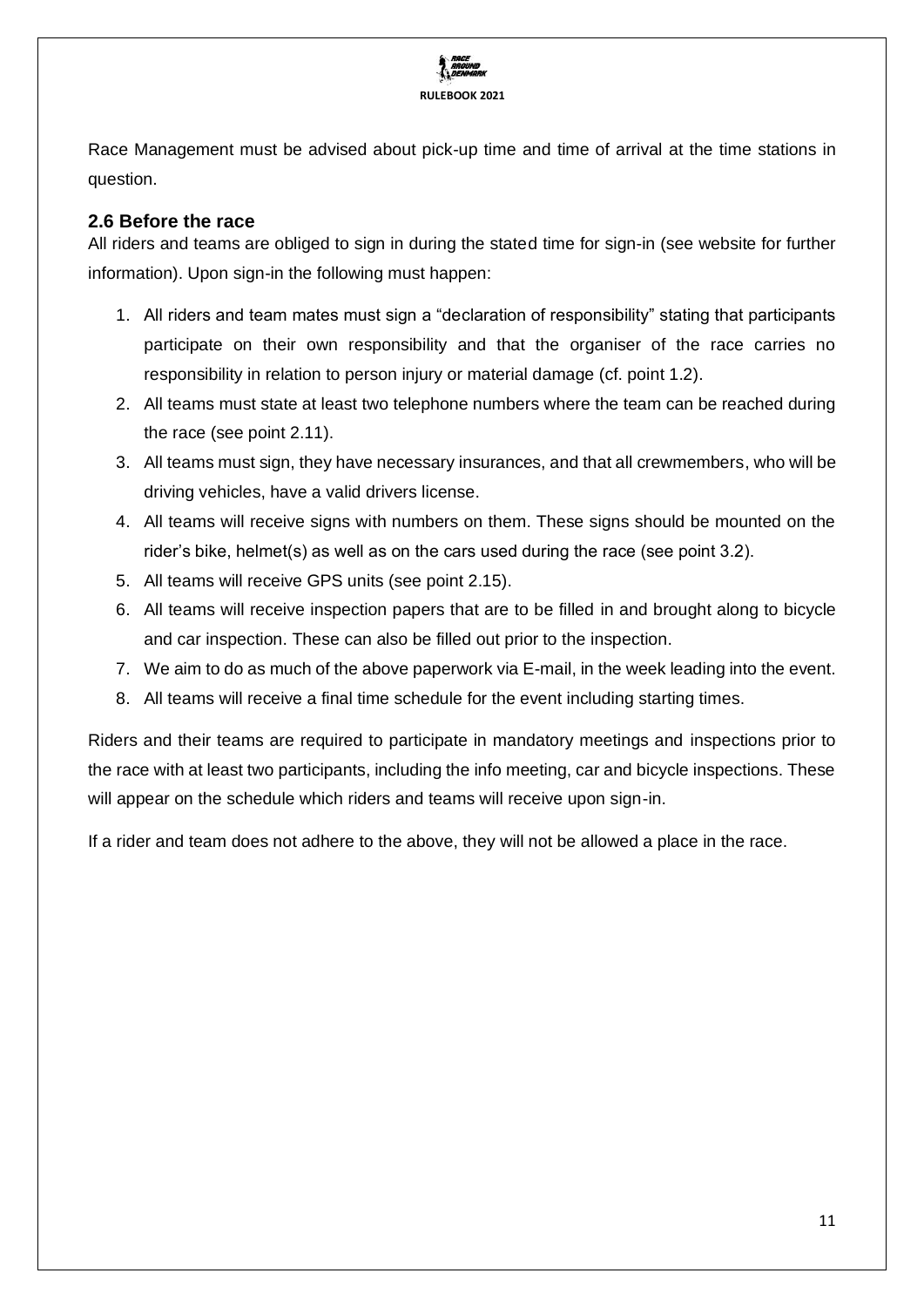

Race Management must be advised about pick-up time and time of arrival at the time stations in question.

## <span id="page-10-0"></span>**2.6 Before the race**

All riders and teams are obliged to sign in during the stated time for sign-in (see website for further information). Upon sign-in the following must happen:

- 1. All riders and team mates must sign a "declaration of responsibility" stating that participants participate on their own responsibility and that the organiser of the race carries no responsibility in relation to person injury or material damage (cf. point 1.2).
- 2. All teams must state at least two telephone numbers where the team can be reached during the race (see point 2.11).
- 3. All teams must sign, they have necessary insurances, and that all crewmembers, who will be driving vehicles, have a valid drivers license.
- 4. All teams will receive signs with numbers on them. These signs should be mounted on the rider's bike, helmet(s) as well as on the cars used during the race (see point 3.2).
- 5. All teams will receive GPS units (see point 2.15).
- 6. All teams will receive inspection papers that are to be filled in and brought along to bicycle and car inspection. These can also be filled out prior to the inspection.
- 7. We aim to do as much of the above paperwork via E-mail, in the week leading into the event.
- 8. All teams will receive a final time schedule for the event including starting times.

Riders and their teams are required to participate in mandatory meetings and inspections prior to the race with at least two participants, including the info meeting, car and bicycle inspections. These will appear on the schedule which riders and teams will receive upon sign-in.

<span id="page-10-1"></span>If a rider and team does not adhere to the above, they will not be allowed a place in the race.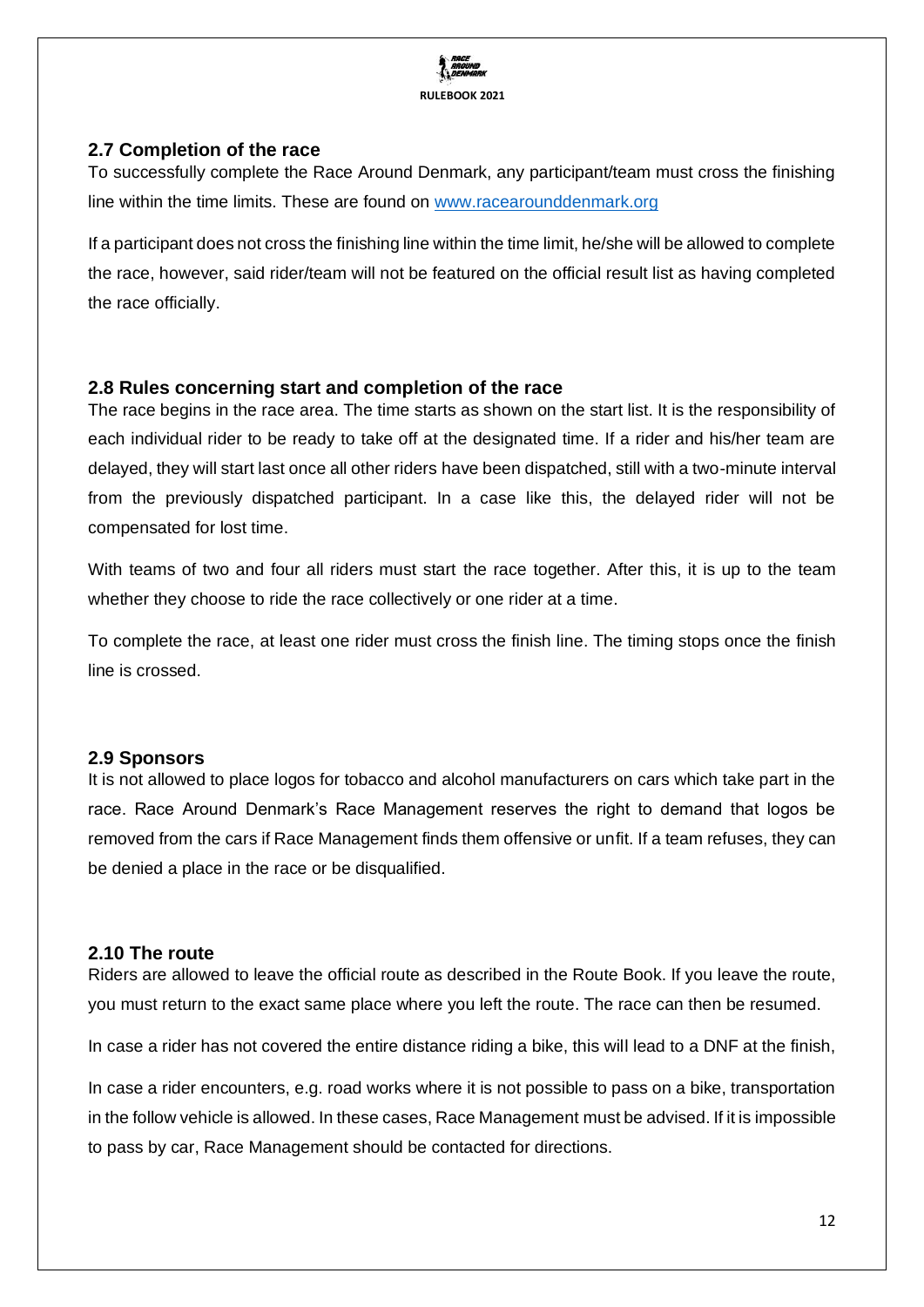

## **2.7 Completion of the race**

To successfully complete the Race Around Denmark, any participant/team must cross the finishing line within the time limits. These are found on [www.racearounddenmark.org](http://www.racearounddenmark.org/)

If a participant does not cross the finishing line within the time limit, he/she will be allowed to complete the race, however, said rider/team will not be featured on the official result list as having completed the race officially.

## <span id="page-11-0"></span>**2.8 Rules concerning start and completion of the race**

The race begins in the race area. The time starts as shown on the start list. It is the responsibility of each individual rider to be ready to take off at the designated time. If a rider and his/her team are delayed, they will start last once all other riders have been dispatched, still with a two-minute interval from the previously dispatched participant. In a case like this, the delayed rider will not be compensated for lost time.

With teams of two and four all riders must start the race together. After this, it is up to the team whether they choose to ride the race collectively or one rider at a time.

To complete the race, at least one rider must cross the finish line. The timing stops once the finish line is crossed.

### <span id="page-11-1"></span>**2.9 Sponsors**

It is not allowed to place logos for tobacco and alcohol manufacturers on cars which take part in the race. Race Around Denmark's Race Management reserves the right to demand that logos be removed from the cars if Race Management finds them offensive or unfit. If a team refuses, they can be denied a place in the race or be disqualified.

#### <span id="page-11-2"></span>**2.10 The route**

Riders are allowed to leave the official route as described in the Route Book. If you leave the route, you must return to the exact same place where you left the route. The race can then be resumed.

In case a rider has not covered the entire distance riding a bike, this will lead to a DNF at the finish,

In case a rider encounters, e.g. road works where it is not possible to pass on a bike, transportation in the follow vehicle is allowed. In these cases, Race Management must be advised. If it is impossible to pass by car, Race Management should be contacted for directions.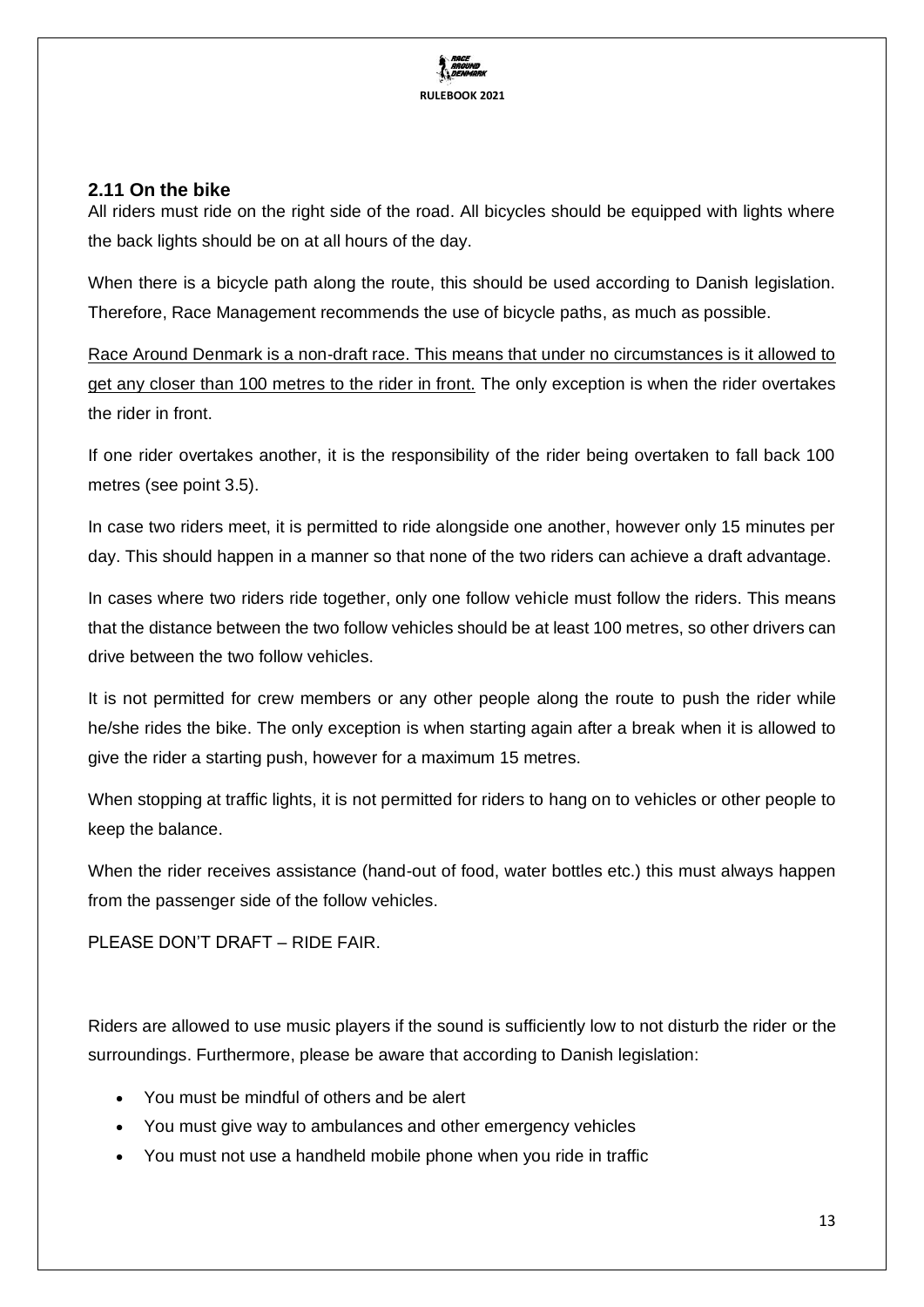

## <span id="page-12-0"></span>**2.11 On the bike**

All riders must ride on the right side of the road. All bicycles should be equipped with lights where the back lights should be on at all hours of the day.

When there is a bicycle path along the route, this should be used according to Danish legislation. Therefore, Race Management recommends the use of bicycle paths, as much as possible.

Race Around Denmark is a non-draft race. This means that under no circumstances is it allowed to get any closer than 100 metres to the rider in front. The only exception is when the rider overtakes the rider in front.

If one rider overtakes another, it is the responsibility of the rider being overtaken to fall back 100 metres (see point 3.5).

In case two riders meet, it is permitted to ride alongside one another, however only 15 minutes per day. This should happen in a manner so that none of the two riders can achieve a draft advantage.

In cases where two riders ride together, only one follow vehicle must follow the riders. This means that the distance between the two follow vehicles should be at least 100 metres, so other drivers can drive between the two follow vehicles.

It is not permitted for crew members or any other people along the route to push the rider while he/she rides the bike. The only exception is when starting again after a break when it is allowed to give the rider a starting push, however for a maximum 15 metres.

When stopping at traffic lights, it is not permitted for riders to hang on to vehicles or other people to keep the balance.

When the rider receives assistance (hand-out of food, water bottles etc.) this must always happen from the passenger side of the follow vehicles.

PLEASE DON'T DRAFT – RIDE FAIR.

Riders are allowed to use music players if the sound is sufficiently low to not disturb the rider or the surroundings. Furthermore, please be aware that according to Danish legislation:

- You must be mindful of others and be alert
- You must give way to ambulances and other emergency vehicles
- You must not use a handheld mobile phone when you ride in traffic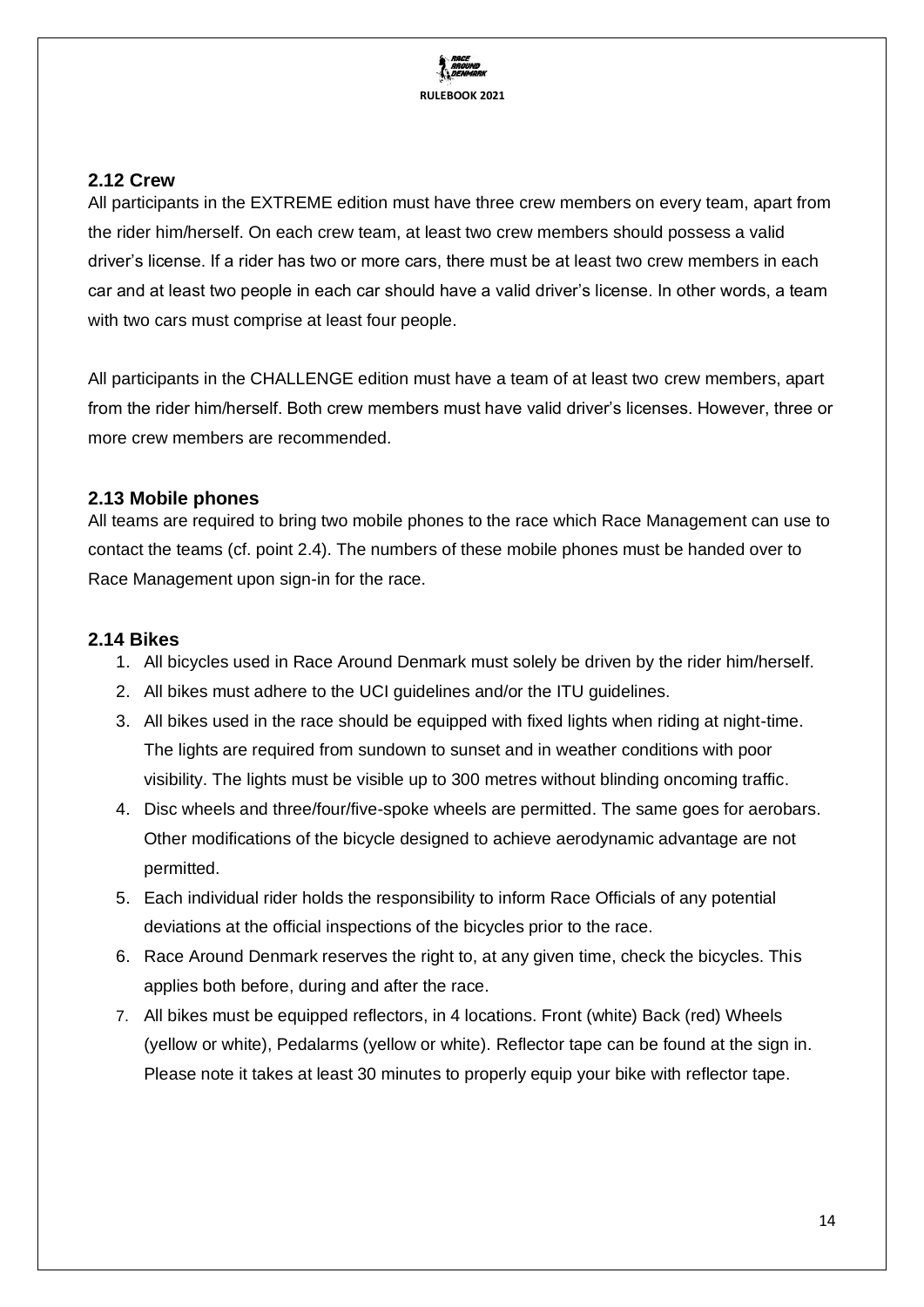

### <span id="page-13-0"></span>**2.12 Crew**

All participants in the EXTREME edition must have three crew members on every team, apart from the rider him/herself. On each crew team, at least two crew members should possess a valid driver's license. If a rider has two or more cars, there must be at least two crew members in each car and at least two people in each car should have a valid driver's license. In other words, a team with two cars must comprise at least four people.

All participants in the CHALLENGE edition must have a team of at least two crew members, apart from the rider him/herself. Both crew members must have valid driver's licenses. However, three or more crew members are recommended.

### <span id="page-13-1"></span>**2.13 Mobile phones**

All teams are required to bring two mobile phones to the race which Race Management can use to contact the teams (cf. point 2.4). The numbers of these mobile phones must be handed over to Race Management upon sign-in for the race.

## <span id="page-13-2"></span>**2.14 Bikes**

- 1. All bicycles used in Race Around Denmark must solely be driven by the rider him/herself.
- 2. All bikes must adhere to the UCI quidelines and/or the ITU quidelines.
- 3. All bikes used in the race should be equipped with fixed lights when riding at night-time. The lights are required from sundown to sunset and in weather conditions with poor visibility. The lights must be visible up to 300 metres without blinding oncoming traffic.
- 4. Disc wheels and three/four/five-spoke wheels are permitted. The same goes for aerobars. Other modifications of the bicycle designed to achieve aerodynamic advantage are not permitted.
- 5. Each individual rider holds the responsibility to inform Race Officials of any potential deviations at the official inspections of the bicycles prior to the race.
- 6. Race Around Denmark reserves the right to, at any given time, check the bicycles. This applies both before, during and after the race.
- 7. All bikes must be equipped reflectors, in 4 locations. Front (white) Back (red) Wheels (yellow or white), Pedalarms (yellow or white). Reflector tape can be found at the sign in. Please note it takes at least 30 minutes to properly equip your bike with reflector tape.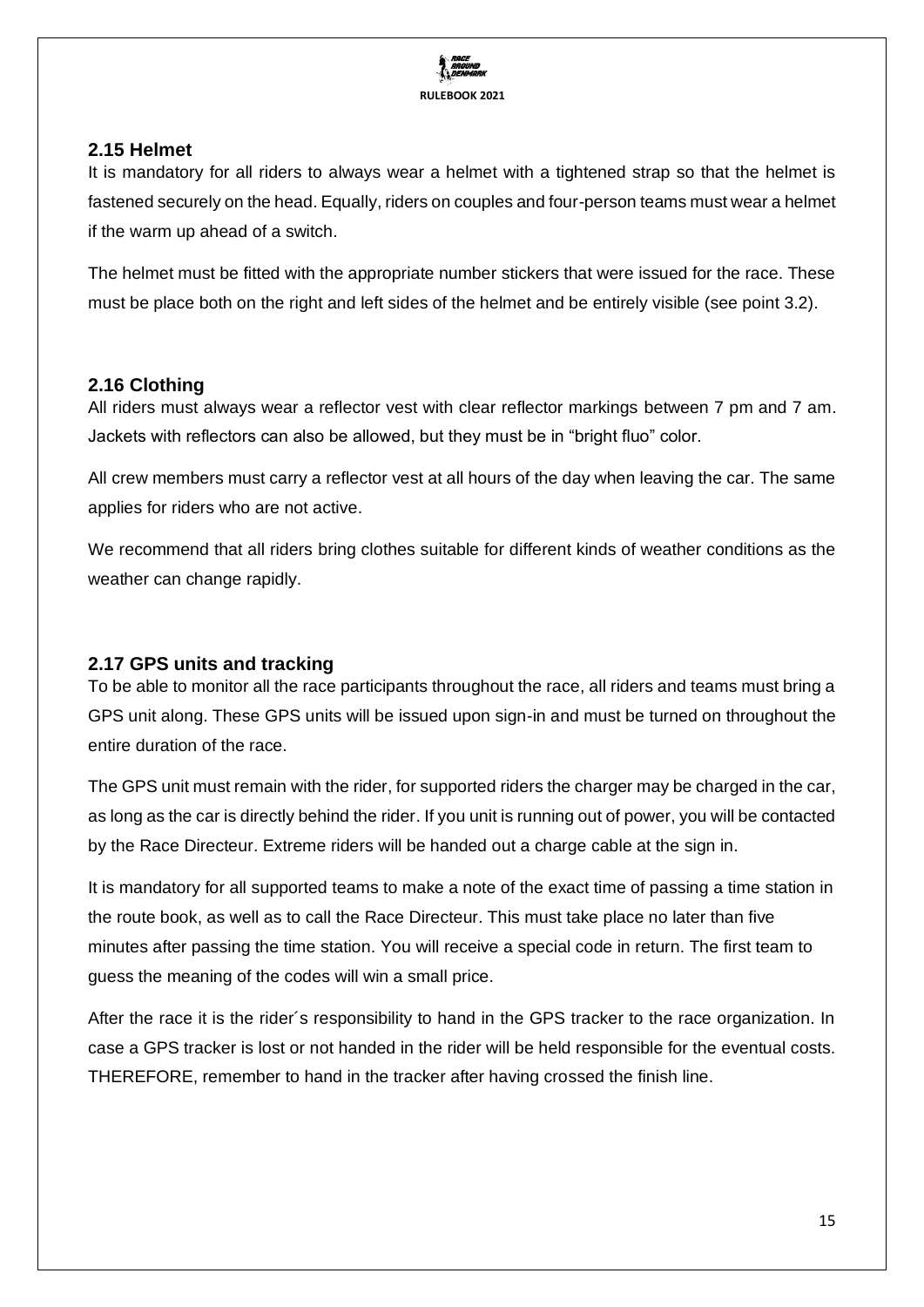

## <span id="page-14-0"></span>**2.15 Helmet**

It is mandatory for all riders to always wear a helmet with a tightened strap so that the helmet is fastened securely on the head. Equally, riders on couples and four-person teams must wear a helmet if the warm up ahead of a switch.

The helmet must be fitted with the appropriate number stickers that were issued for the race. These must be place both on the right and left sides of the helmet and be entirely visible (see point 3.2).

## <span id="page-14-1"></span>**2.16 Clothing**

All riders must always wear a reflector vest with clear reflector markings between 7 pm and 7 am. Jackets with reflectors can also be allowed, but they must be in "bright fluo" color.

All crew members must carry a reflector vest at all hours of the day when leaving the car. The same applies for riders who are not active.

We recommend that all riders bring clothes suitable for different kinds of weather conditions as the weather can change rapidly.

## <span id="page-14-2"></span>**2.17 GPS units and tracking**

To be able to monitor all the race participants throughout the race, all riders and teams must bring a GPS unit along. These GPS units will be issued upon sign-in and must be turned on throughout the entire duration of the race.

The GPS unit must remain with the rider, for supported riders the charger may be charged in the car, as long as the car is directly behind the rider. If you unit is running out of power, you will be contacted by the Race Directeur. Extreme riders will be handed out a charge cable at the sign in.

It is mandatory for all supported teams to make a note of the exact time of passing a time station in the route book, as well as to call the Race Directeur. This must take place no later than five minutes after passing the time station. You will receive a special code in return. The first team to guess the meaning of the codes will win a small price.

After the race it is the rider´s responsibility to hand in the GPS tracker to the race organization. In case a GPS tracker is lost or not handed in the rider will be held responsible for the eventual costs. THEREFORE, remember to hand in the tracker after having crossed the finish line.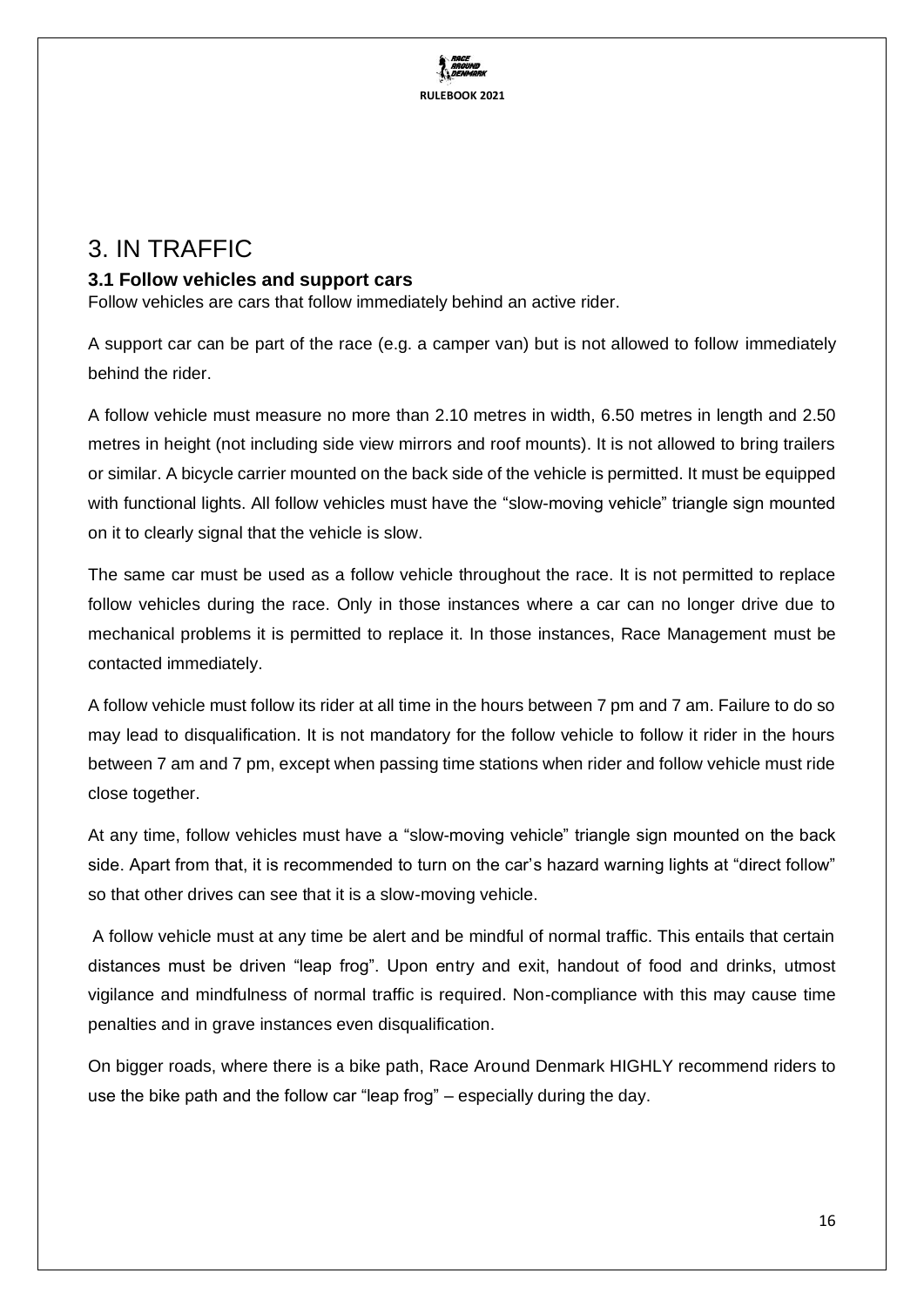**RULEBOOK 2021**

## <span id="page-15-0"></span>3. IN TRAFFIC

## <span id="page-15-1"></span>**3.1 Follow vehicles and support cars**

Follow vehicles are cars that follow immediately behind an active rider.

A support car can be part of the race (e.g. a camper van) but is not allowed to follow immediately behind the rider.

A follow vehicle must measure no more than 2.10 metres in width, 6.50 metres in length and 2.50 metres in height (not including side view mirrors and roof mounts). It is not allowed to bring trailers or similar. A bicycle carrier mounted on the back side of the vehicle is permitted. It must be equipped with functional lights. All follow vehicles must have the "slow-moving vehicle" triangle sign mounted on it to clearly signal that the vehicle is slow.

The same car must be used as a follow vehicle throughout the race. It is not permitted to replace follow vehicles during the race. Only in those instances where a car can no longer drive due to mechanical problems it is permitted to replace it. In those instances, Race Management must be contacted immediately.

A follow vehicle must follow its rider at all time in the hours between 7 pm and 7 am. Failure to do so may lead to disqualification. It is not mandatory for the follow vehicle to follow it rider in the hours between 7 am and 7 pm, except when passing time stations when rider and follow vehicle must ride close together.

At any time, follow vehicles must have a "slow-moving vehicle" triangle sign mounted on the back side. Apart from that, it is recommended to turn on the car's hazard warning lights at "direct follow" so that other drives can see that it is a slow-moving vehicle.

A follow vehicle must at any time be alert and be mindful of normal traffic. This entails that certain distances must be driven "leap frog". Upon entry and exit, handout of food and drinks, utmost vigilance and mindfulness of normal traffic is required. Non-compliance with this may cause time penalties and in grave instances even disqualification.

On bigger roads, where there is a bike path, Race Around Denmark HIGHLY recommend riders to use the bike path and the follow car "leap frog" – especially during the day.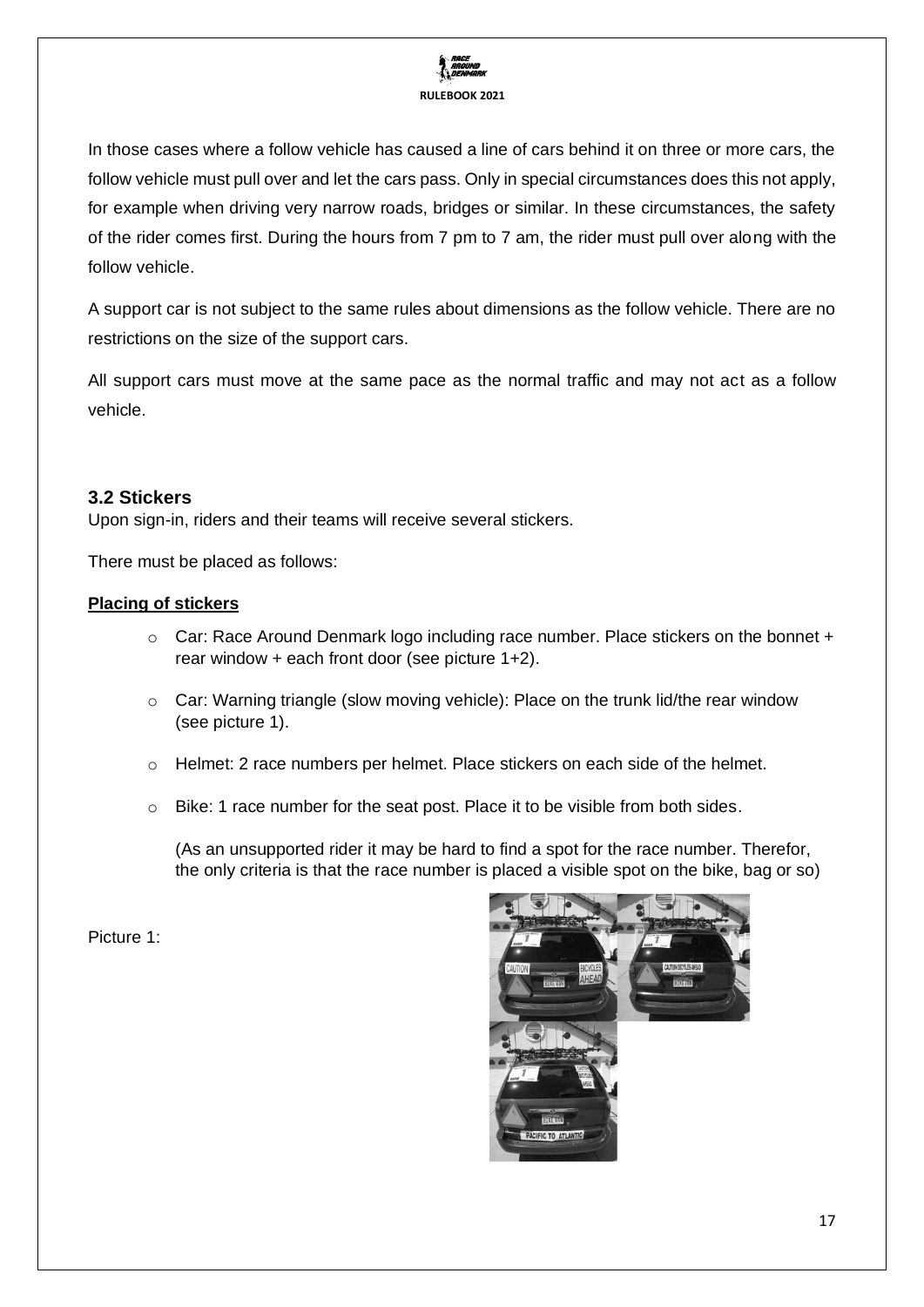

In those cases where a follow vehicle has caused a line of cars behind it on three or more cars, the follow vehicle must pull over and let the cars pass. Only in special circumstances does this not apply, for example when driving very narrow roads, bridges or similar. In these circumstances, the safety of the rider comes first. During the hours from 7 pm to 7 am, the rider must pull over along with the follow vehicle.

A support car is not subject to the same rules about dimensions as the follow vehicle. There are no restrictions on the size of the support cars.

All support cars must move at the same pace as the normal traffic and may not act as a follow vehicle.

### <span id="page-16-0"></span>**3.2 Stickers**

Upon sign-in, riders and their teams will receive several stickers.

There must be placed as follows:

#### **Placing of stickers**

- o Car: Race Around Denmark logo including race number. Place stickers on the bonnet + rear window + each front door (see picture 1+2).
- $\circ$  Car: Warning triangle (slow moving vehicle): Place on the trunk lid/the rear window (see picture 1).
- o Helmet: 2 race numbers per helmet. Place stickers on each side of the helmet.
- o Bike: 1 race number for the seat post. Place it to be visible from both sides.

(As an unsupported rider it may be hard to find a spot for the race number. Therefor, the only criteria is that the race number is placed a visible spot on the bike, bag or so)

Picture 1:

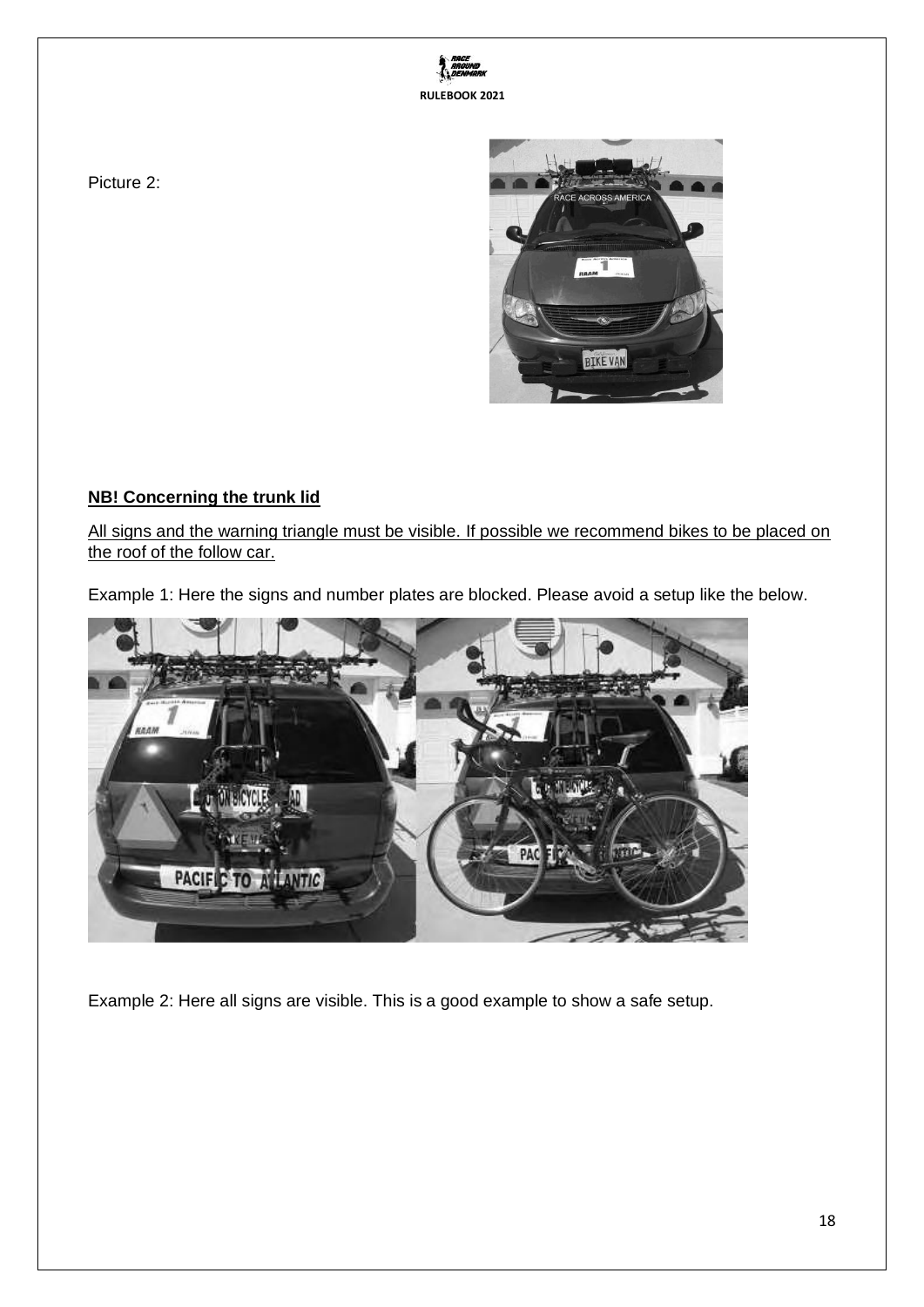



Picture 2:

## **NB! Concerning the trunk lid**

All signs and the warning triangle must be visible. If possible we recommend bikes to be placed on the roof of the follow car.

Example 1: Here the signs and number plates are blocked. Please avoid a setup like the below.



Example 2: Here all signs are visible. This is a good example to show a safe setup.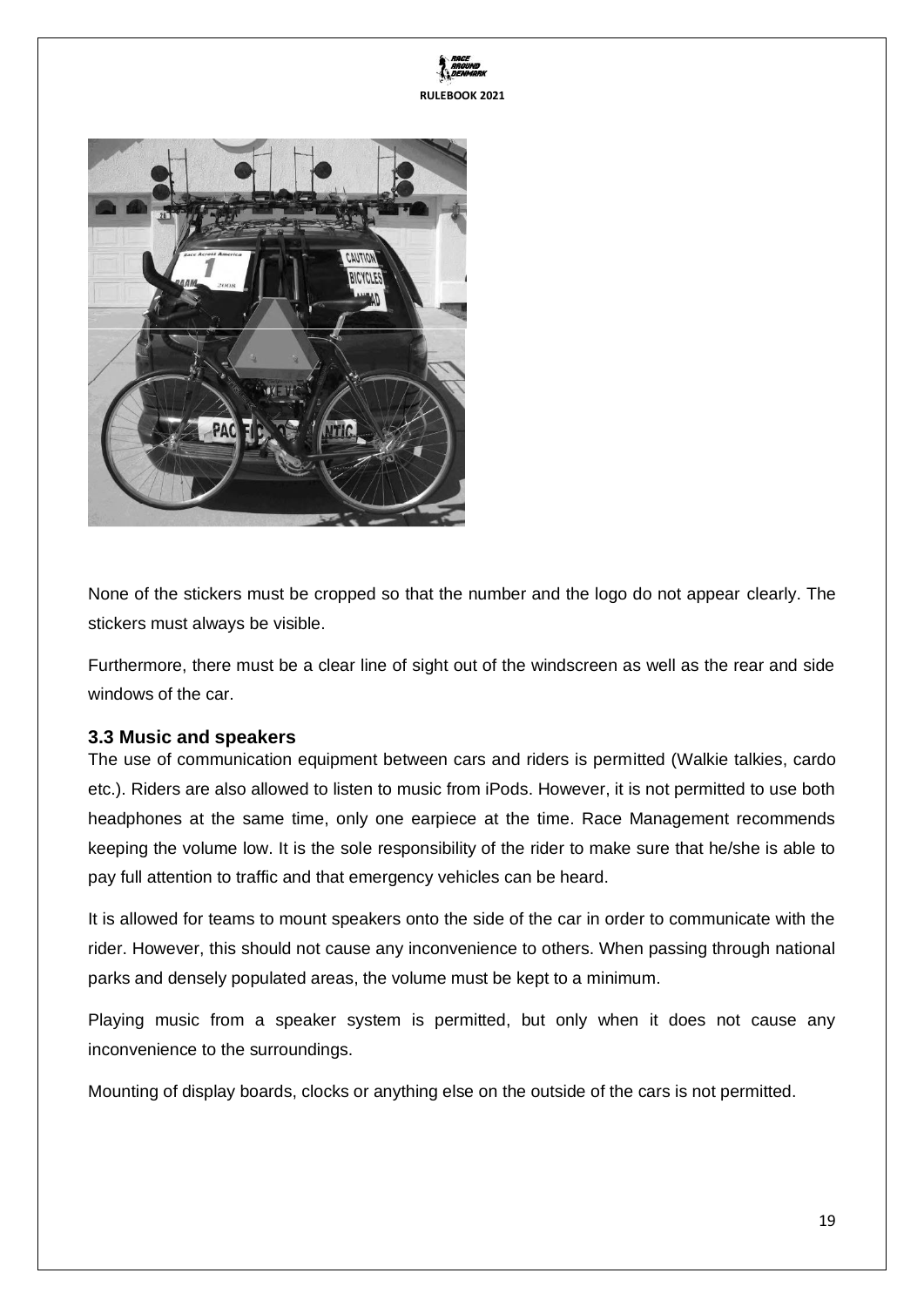



None of the stickers must be cropped so that the number and the logo do not appear clearly. The stickers must always be visible.

Furthermore, there must be a clear line of sight out of the windscreen as well as the rear and side windows of the car.

#### <span id="page-18-0"></span>**3.3 Music and speakers**

The use of communication equipment between cars and riders is permitted (Walkie talkies, cardo etc.). Riders are also allowed to listen to music from iPods. However, it is not permitted to use both headphones at the same time, only one earpiece at the time. Race Management recommends keeping the volume low. It is the sole responsibility of the rider to make sure that he/she is able to pay full attention to traffic and that emergency vehicles can be heard.

It is allowed for teams to mount speakers onto the side of the car in order to communicate with the rider. However, this should not cause any inconvenience to others. When passing through national parks and densely populated areas, the volume must be kept to a minimum.

Playing music from a speaker system is permitted, but only when it does not cause any inconvenience to the surroundings.

Mounting of display boards, clocks or anything else on the outside of the cars is not permitted.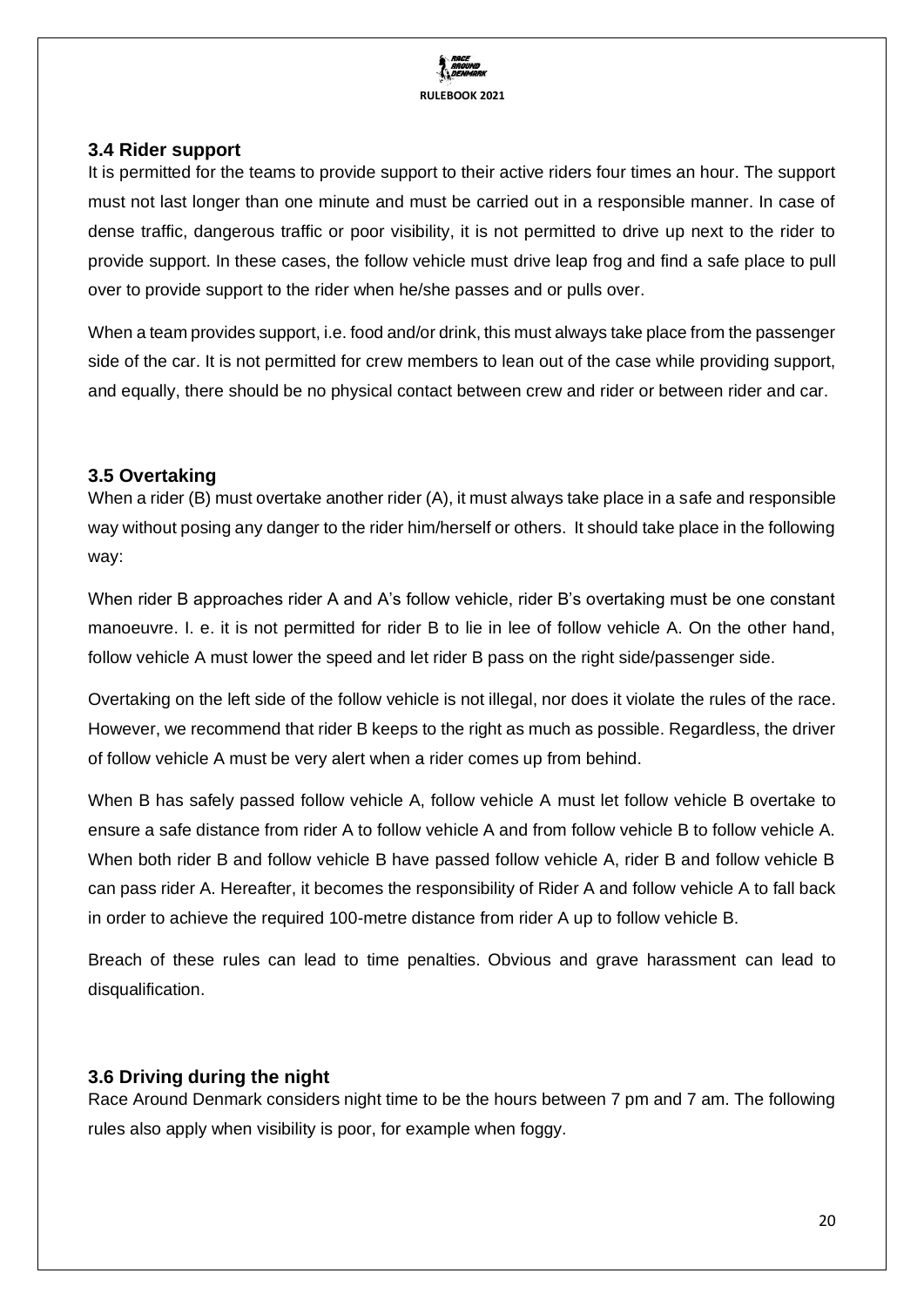

#### <span id="page-19-0"></span>**3.4 Rider support**

It is permitted for the teams to provide support to their active riders four times an hour. The support must not last longer than one minute and must be carried out in a responsible manner. In case of dense traffic, dangerous traffic or poor visibility, it is not permitted to drive up next to the rider to provide support. In these cases, the follow vehicle must drive leap frog and find a safe place to pull over to provide support to the rider when he/she passes and or pulls over.

When a team provides support, i.e. food and/or drink, this must always take place from the passenger side of the car. It is not permitted for crew members to lean out of the case while providing support, and equally, there should be no physical contact between crew and rider or between rider and car.

#### <span id="page-19-1"></span>**3.5 Overtaking**

When a rider (B) must overtake another rider (A), it must always take place in a safe and responsible way without posing any danger to the rider him/herself or others. It should take place in the following way:

When rider B approaches rider A and A's follow vehicle, rider B's overtaking must be one constant manoeuvre. I. e. it is not permitted for rider B to lie in lee of follow vehicle A. On the other hand, follow vehicle A must lower the speed and let rider B pass on the right side/passenger side.

Overtaking on the left side of the follow vehicle is not illegal, nor does it violate the rules of the race. However, we recommend that rider B keeps to the right as much as possible. Regardless, the driver of follow vehicle A must be very alert when a rider comes up from behind.

When B has safely passed follow vehicle A, follow vehicle A must let follow vehicle B overtake to ensure a safe distance from rider A to follow vehicle A and from follow vehicle B to follow vehicle A. When both rider B and follow vehicle B have passed follow vehicle A, rider B and follow vehicle B can pass rider A. Hereafter, it becomes the responsibility of Rider A and follow vehicle A to fall back in order to achieve the required 100-metre distance from rider A up to follow vehicle B.

Breach of these rules can lead to time penalties. Obvious and grave harassment can lead to disqualification.

### <span id="page-19-2"></span>**3.6 Driving during the night**

Race Around Denmark considers night time to be the hours between 7 pm and 7 am. The following rules also apply when visibility is poor, for example when foggy.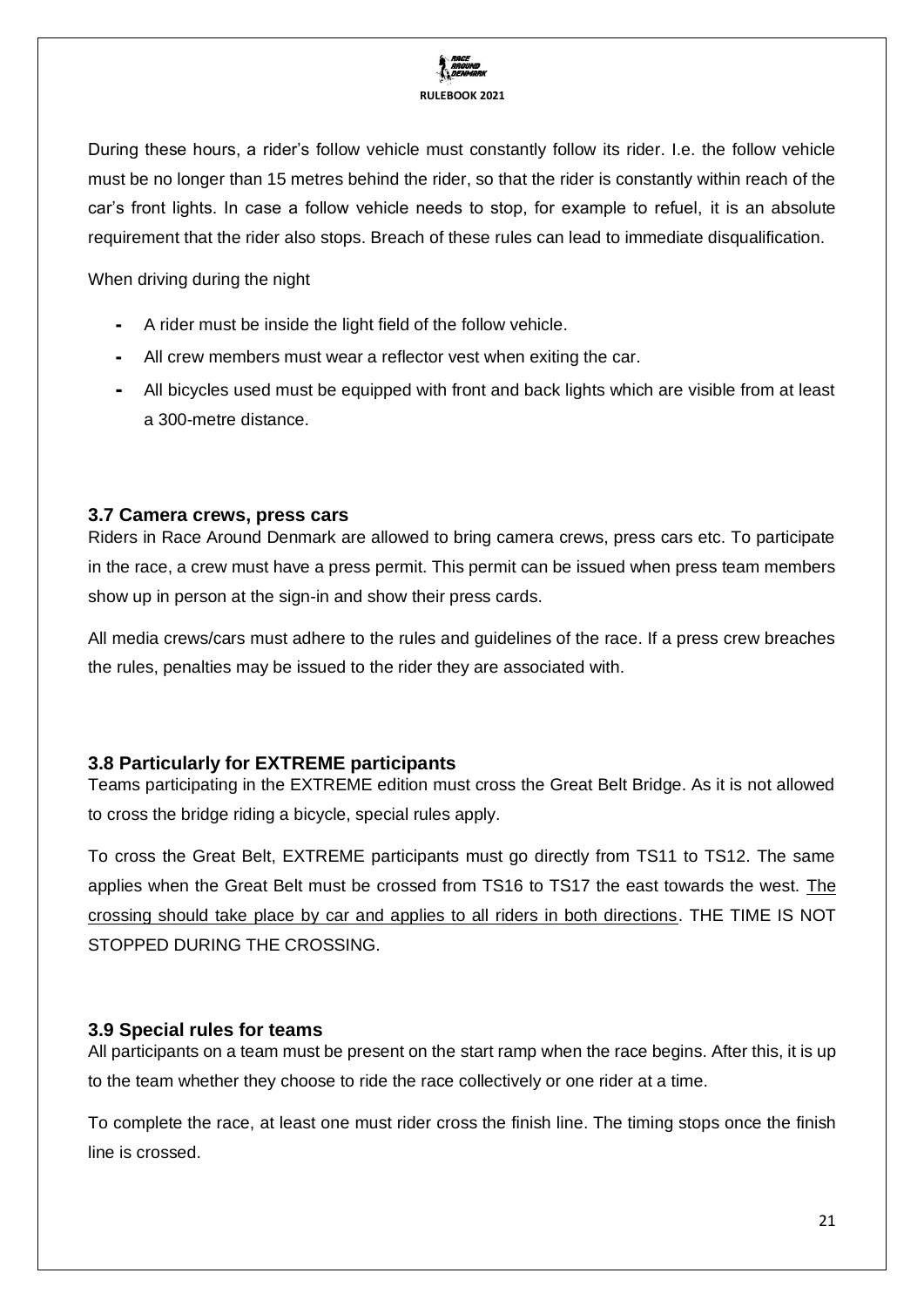

During these hours, a rider's follow vehicle must constantly follow its rider. I.e. the follow vehicle must be no longer than 15 metres behind the rider, so that the rider is constantly within reach of the car's front lights. In case a follow vehicle needs to stop, for example to refuel, it is an absolute requirement that the rider also stops. Breach of these rules can lead to immediate disqualification.

When driving during the night

- A rider must be inside the light field of the follow vehicle.
- All crew members must wear a reflector vest when exiting the car.
- All bicycles used must be equipped with front and back lights which are visible from at least a 300-metre distance.

#### <span id="page-20-0"></span>**3.7 Camera crews, press cars**

Riders in Race Around Denmark are allowed to bring camera crews, press cars etc. To participate in the race, a crew must have a press permit. This permit can be issued when press team members show up in person at the sign-in and show their press cards.

All media crews/cars must adhere to the rules and guidelines of the race. If a press crew breaches the rules, penalties may be issued to the rider they are associated with.

#### <span id="page-20-1"></span>**3.8 Particularly for EXTREME participants**

Teams participating in the EXTREME edition must cross the Great Belt Bridge. As it is not allowed to cross the bridge riding a bicycle, special rules apply.

To cross the Great Belt, EXTREME participants must go directly from TS11 to TS12. The same applies when the Great Belt must be crossed from TS16 to TS17 the east towards the west. The crossing should take place by car and applies to all riders in both directions. THE TIME IS NOT STOPPED DURING THE CROSSING.

#### <span id="page-20-2"></span>**3.9 Special rules for teams**

All participants on a team must be present on the start ramp when the race begins. After this, it is up to the team whether they choose to ride the race collectively or one rider at a time.

To complete the race, at least one must rider cross the finish line. The timing stops once the finish line is crossed.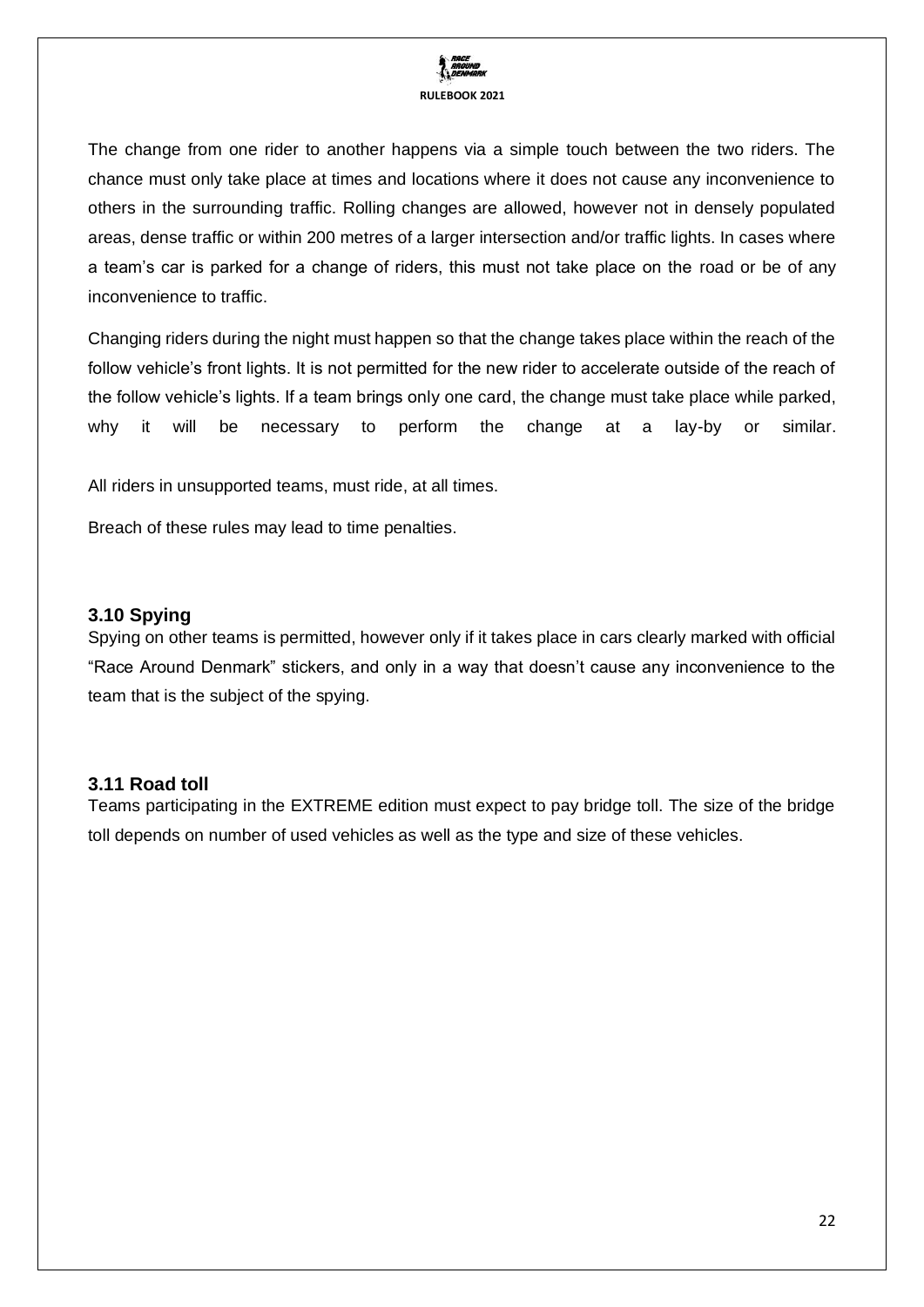

The change from one rider to another happens via a simple touch between the two riders. The chance must only take place at times and locations where it does not cause any inconvenience to others in the surrounding traffic. Rolling changes are allowed, however not in densely populated areas, dense traffic or within 200 metres of a larger intersection and/or traffic lights. In cases where a team's car is parked for a change of riders, this must not take place on the road or be of any inconvenience to traffic.

Changing riders during the night must happen so that the change takes place within the reach of the follow vehicle's front lights. It is not permitted for the new rider to accelerate outside of the reach of the follow vehicle's lights. If a team brings only one card, the change must take place while parked, why it will be necessary to perform the change at a lay-by or similar.

All riders in unsupported teams, must ride, at all times.

Breach of these rules may lead to time penalties.

#### <span id="page-21-0"></span>**3.10 Spying**

Spying on other teams is permitted, however only if it takes place in cars clearly marked with official "Race Around Denmark" stickers, and only in a way that doesn't cause any inconvenience to the team that is the subject of the spying.

#### <span id="page-21-1"></span>**3.11 Road toll**

Teams participating in the EXTREME edition must expect to pay bridge toll. The size of the bridge toll depends on number of used vehicles as well as the type and size of these vehicles.